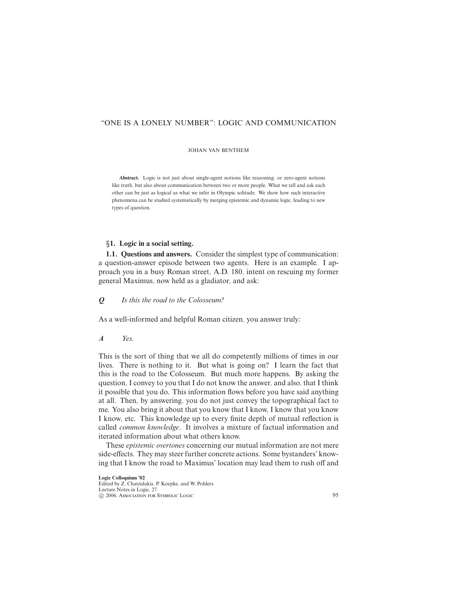# "ONE IS A LONELY NUMBER": LOGIC AND COMMUNICATION

#### JOHAN VAN BENTHEM

**Abstract.** Logic is not just about single-agent notions like reasoning, or zero-agent notions like truth, but also about communication between two or more people. What we tell and ask each other can be just as logical as what we infer in Olympic solitude. We show how such interactive phenomena can be studied systematically by merging epistemic and dynamic logic, leading to new types of question.

## *§***1. Logic in a social setting.**

**1.1. Questions and answers.** Consider the simplest type of communication: a question-answer episode between two agents. Here is an example. I approach you in a busy Roman street, A.D. 180, intent on rescuing my former general Maximus, now held as a gladiator, and ask:

# *Q Is this the road to the Colosseum?*

As a well-informed and helpful Roman citizen, you answer truly:

## *A Yes.*

This is the sort of thing that we all do competently millions of times in our lives. There is nothing to it. But what is going on? I learn the fact that this is the road to the Colosseum. But much more happens. By asking the question, I convey to you that I do not know the answer, and also, that I think it possible that you do. This information flows before you have said anything at all. Then, by answering, you do not just convey the topographical fact to me. You also bring it about that you know that I know, I know that you know I know, etc. This knowledge up to every finite depth of mutual reflection is called *common knowledge*. It involves a mixture of factual information and iterated information about what others know.

These *epistemic overtones* concerning our mutual information are not mere side-effects. They may steer further concrete actions. Some bystanders' knowing that I know the road to Maximus' location may lead them to rush off and

**Logic Colloquium '02** Edited by Z. Chatzidakis, P. Koepke, and W. Pohlers Lecture Notes in Logic, 27 c 2006, Association for Symbolic Logic 95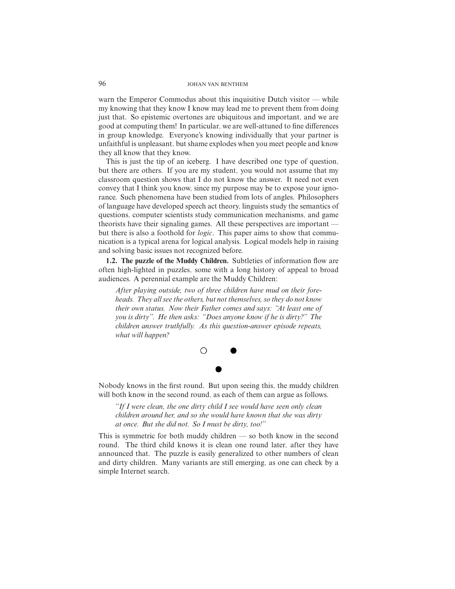warn the Emperor Commodus about this inquisitive Dutch visitor — while my knowing that they know I know may lead me to prevent them from doing just that. So epistemic overtones are ubiquitous and important, and we are good at computing them! In particular, we are well-attuned to fine differences in group knowledge. Everyone's knowing individually that your partner is unfaithful is unpleasant, but shame explodes when you meet people and know they all know that they know.

This is just the tip of an iceberg. I have described one type of question, but there are others. If you are my student, you would not assume that my classroom question shows that I do not know the answer. It need not even convey that I think you know, since my purpose may be to expose your ignorance. Such phenomena have been studied from lots of angles. Philosophers of language have developed speech act theory, linguists study the semantics of questions, computer scientists study communication mechanisms, and game theorists have their signaling games. All these perspectives are important but there is also a foothold for *logic*. This paper aims to show that communication is a typical arena for logical analysis. Logical models help in raising and solving basic issues not recognized before.

**1.2. The puzzle of the Muddy Children.** Subtleties of information flow are often high-lighted in puzzles, some with a long history of appeal to broad audiences. A perennial example are the Muddy Children:

*After playing outside, two of three children have mud on their foreheads. They all see the others, but not themselves, so they do not know their own status. Now their Father comes and says: "At least one of you is dirty". He then asks: "Does anyone know if he is dirty?" The children answer truthfully. As this question-answer episode repeats, what will happen?*



Nobody knows in the first round. But upon seeing this, the muddy children will both know in the second round, as each of them can argue as follows.

*"If I were clean, the one dirty child I see would have seen only clean children around her, and so she would have known that she was dirty at once. But she did not. So I must be dirty, too!"*

This is symmetric for both muddy children — so both know in the second round. The third child knows it is clean one round later, after they have announced that. The puzzle is easily generalized to other numbers of clean and dirty children. Many variants are still emerging, as one can check by a simple Internet search.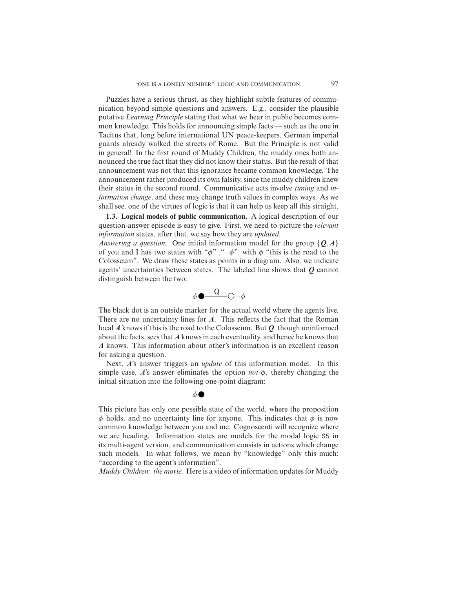Puzzles have a serious thrust, as they highlight subtle features of communication beyond simple questions and answers. E.g., consider the plausible putative *Learning Principle* stating that what we hear in public becomes common knowledge. This holds for announcing simple facts — such as the one in Tacitus that, long before international UN peace-keepers, German imperial guards already walked the streets of Rome. But the Principle is not valid in general! In the first round of Muddy Children, the muddy ones both announced the true fact that they did not know their status. But the result of that announcement was not that this ignorance became common knowledge. The announcement rather produced its own falsity, since the muddy children knew their status in the second round. Communicative acts involve *timing* and *information change*, and these may change truth values in complex ways. As we shall see, one of the virtues of logic is that it can help us keep all this straight.

**1.3. Logical models of public communication.** A logical description of our question-answer episode is easy to give. First, we need to picture the *relevant information* states, after that, we say how they are *updated*.

*Answering a question.* One initial information model for the group  $\{0, A\}$ of you and I has two states with " $\phi$ ", " $\neg \phi$ ", with  $\phi$  "this is the road to the Colosseum". We draw these states as points in a diagram. Also, we indicate agents' uncertainties between states. The labeled line shows that *Q* cannot distinguish between the two:



The black dot is an outside marker for the actual world where the agents live. There are no uncertainty lines for *A*. This reflects the fact that the Roman local *A* knows if this is the road to the Colosseum. But *Q*, though uninformed about the facts, sees that *A* knows in each eventuality, and hence he knows that *A* knows. This information about other's information is an excellent reason for asking a question.

Next, *A*'s answer triggers an *update* of this information model. In this simple case,  $\vec{A}$ 's answer eliminates the option  $not-\phi$ , thereby changing the initial situation into the following one-point diagram:



This picture has only one possible state of the world, where the proposition *φ* holds, and no uncertainty line for anyone. This indicates that *φ* is now common knowledge between you and me. Cognoscenti will recognize where we are heading. Information states are models for the modal logic S5 in its multi-agent version, and communication consists in actions which change such models. In what follows, we mean by "knowledge" only this much: "according to the agent's information".

*Muddy Children: the movie.* Here is a video of information updates for Muddy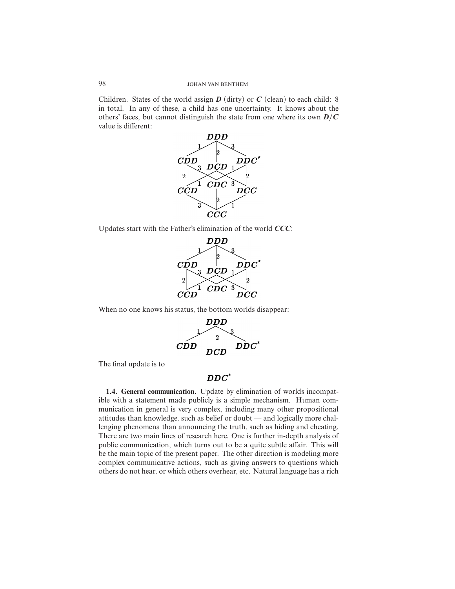Children. States of the world assign  $D$  (dirty) or  $C$  (clean) to each child: 8 in total. In any of these, a child has one uncertainty. It knows about the others' faces, but cannot distinguish the state from one where its own *D/C* value is different:



Updates start with the Father's elimination of the world *CCC*:



When no one knows his status, the bottom worlds disappear:



The final update is to

# $DDC^*$

**1.4. General communication.** Update by elimination of worlds incompatible with a statement made publicly is a simple mechanism. Human communication in general is very complex, including many other propositional attitudes than knowledge, such as belief or doubt — and logically more challenging phenomena than announcing the truth, such as hiding and cheating. There are two main lines of research here. One is further in-depth analysis of public communication, which turns out to be a quite subtle affair. This will be the main topic of the present paper. The other direction is modeling more complex communicative actions, such as giving answers to questions which others do not hear, or which others overhear, etc. Natural language has a rich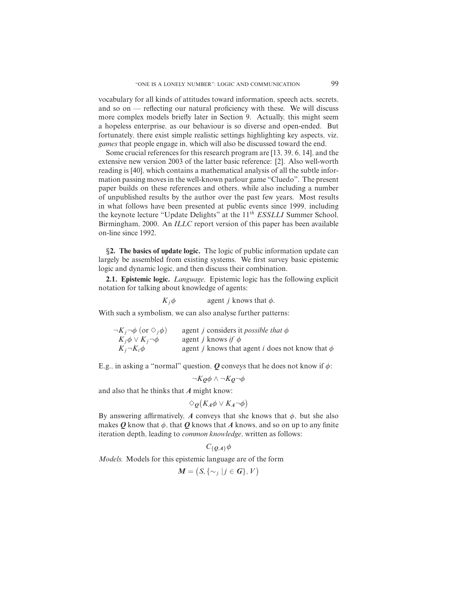vocabulary for all kinds of attitudes toward information, speech acts, secrets, and so on — reflecting our natural proficiency with these. We will discuss more complex models briefly later in Section 9. Actually, this might seem a hopeless enterprise, as our behaviour is so diverse and open-ended. But fortunately, there exist simple realistic settings highlighting key aspects, viz. *games* that people engage in, which will also be discussed toward the end.

Some crucial references for this research program are [13, 39, 6, 14], and the extensive new version 2003 of the latter basic reference: [2]. Also well-worth reading is [40], which contains a mathematical analysis of all the subtle information passing moves in the well-known parlour game "Cluedo". The present paper builds on these references and others, while also including a number of unpublished results by the author over the past few years. Most results in what follows have been presented at public events since 1999, including the keynote lecture "Update Delights" at the 11*th ESSLLI* Summer School, Birmingham, 2000. An *ILLC* report version of this paper has been available on-line since 1992.

*§***2. The basics of update logic.** The logic of public information update can largely be assembled from existing systems. We first survey basic epistemic logic and dynamic logic, and then discuss their combination.

**2.1. Epistemic logic.** *Language.* Epistemic logic has the following explicit notation for talking about knowledge of agents:

$$
K_j \phi
$$
 agent *j* knows that  $\phi$ .

With such a symbolism, we can also analyse further patterns:

| $\neg K_i \neg \phi$ (or $\Diamond_i \phi$ ) | agent <i>j</i> considers it <i>possible that</i> $\phi$            |
|----------------------------------------------|--------------------------------------------------------------------|
| $K_i \phi \vee K_i \neg \phi$                | agent <i>j</i> knows <i>if</i> $\phi$                              |
| $K_i\neg K_i\phi$                            | agent <i>j</i> knows that agent <i>i</i> does not know that $\phi$ |

E.g., in asking a "normal" question,  $Q$  conveys that he does not know if  $\phi$ :

 $\neg K_{\mathbf{0}}\phi \wedge \neg K_{\mathbf{0}}\neg\phi$ 

and also that he thinks that *A* might know:

$$
\Diamond_{\mathcal{Q}}(K_{A}\phi\lor K_{A}\neg\phi)
$$

By answering affirmatively, *A* conveys that she knows that  $\phi$ , but she also makes  $Q$  know that  $\phi$ , that  $Q$  knows that  $A$  knows, and so on up to any finite iteration depth, leading to *common knowledge*, written as follows:

*C*{*Q,A*}*φ*

*Models.* Models for this epistemic language are of the form

$$
\mathbf{M} = (S, \{\sim_j | j \in \mathbf{G}\}, V)
$$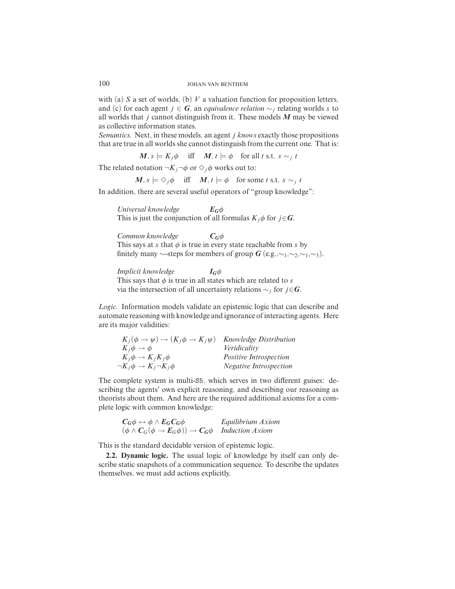with (a)  $S$  a set of worlds, (b)  $V$  a valuation function for proposition letters, and (c) for each agent  $j \in G$ , an *equivalence relation*  $\sim_j$  relating worlds *s* to all worlds that *j* cannot distinguish from it. These models *M* may be viewed as collective information states.

*Semantics.* Next, in these models, an agent *j knows* exactly those propositions that are true in all worlds she cannot distinguish from the current one. That is:

 $M, s \models K_i \phi$  iff  $M, t \models \phi$  for all *t* s.t.  $s \sim_i t$ 

The related notation  $\neg K_j \neg \phi$  or  $\Diamond_j \phi$  works out to:

$$
M, s \models \Diamond_j \phi \quad \text{iff} \quad M, t \models \phi \quad \text{for some } t \text{ s.t. } s \sim_j t
$$

In addition, there are several useful operators of "group knowledge":

*Universal knowledge E<sub>G</sub>* $\phi$ *</sup>* This is just the conjunction of all formulas  $K_j\phi$  for  $j \in \mathbf{G}$ .

*Common knowledge*  $C_G$ φ This says at *s* that  $\phi$  is true in every state reachable from *s* by finitely many  $\sim$ -steps for members of group *G* (e.g., $\sim_1$ , $\sim_2$ , $\sim_1$ , $\sim_3$ ).

*Implicit knowledge IG* $\phi$ This says that  $\phi$  is true in all states which are related to *s* via the intersection of all uncertainty relations ∼*<sup>j</sup>* for *j*∈*G*.

*Logic.* Information models validate an epistemic logic that can describe and automate reasoning with knowledge and ignorance of interacting agents. Here are its major validities:

| $K_i(\phi \to \psi) \to (K_i \phi \to K_i \psi)$ | Knowledge Distribution        |
|--------------------------------------------------|-------------------------------|
| $K_i \phi \rightarrow \phi$                      | Veridicality                  |
| $K_i \phi \rightarrow K_i K_i \phi$              | Positive Introspection        |
| $\neg K_i \phi \rightarrow K_i \neg K_i \phi$    | <b>Negative Introspection</b> |

The complete system is multi-S5, which serves in two different guises: describing the agents' own explicit reasoning, and describing our reasoning as theorists about them. And here are the required additional axioms for a complete logic with common knowledge:

| $C_G\phi \leftrightarrow \phi \wedge E_G C_G\phi$                                 | Equilibrium Axiom |
|-----------------------------------------------------------------------------------|-------------------|
| $(\phi \wedge C_G(\phi \rightarrow E_G\phi)) \rightarrow C_G\phi$ Induction Axiom |                   |

This is the standard decidable version of epistemic logic.

**2.2. Dynamic logic.** The usual logic of knowledge by itself can only describe static snapshots of a communication sequence. To describe the updates themselves, we must add actions explicitly.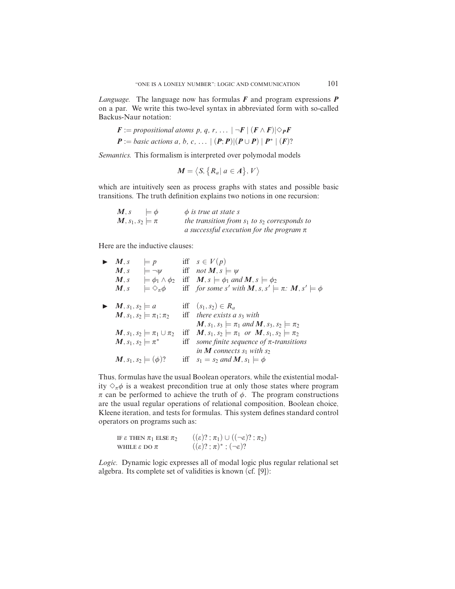*Language.* The language now has formulas *F* and program expressions *P* on a par. We write this two-level syntax in abbreviated form with so-called Backus-Naur notation:

$$
\mathbf{F} := propositional \text{ atoms } p, q, r, \dots | \neg \mathbf{F} | (\mathbf{F} \wedge \mathbf{F}) | \Diamond_{\mathbf{P}} \mathbf{F}
$$
  

$$
\mathbf{P} := basic \text{ actions } a, b, c, \dots | (\mathbf{P}; \mathbf{P}) | (\mathbf{P} \cup \mathbf{P}) | \mathbf{P}^* | (\mathbf{F})?
$$

*Semantics.* This formalism is interpreted over polymodal models

$$
M = \langle S, \{R_a | a \in A\}, V \rangle
$$

which are intuitively seen as process graphs with states and possible basic transitions. The truth definition explains two notions in one recursion:

| M, s<br>$=$ $\phi$        | $\phi$ is true at state s                         |
|---------------------------|---------------------------------------------------|
| $M, s_1, s_2 \models \pi$ | the transition from $s_1$ to $s_2$ corresponds to |
|                           | a successful execution for the program $\pi$      |

Here are the inductive clauses:

| $M_{\cdot} s$<br>$= p$                        | iff $s \in V(p)$                                                                   |
|-----------------------------------------------|------------------------------------------------------------------------------------|
| M, s                                          | $\models \neg \psi$ iff <i>not</i> <b>M</b> , $s \models \psi$                     |
| M, s                                          | $\models \phi_1 \wedge \phi_2$ iff $M, s \models \phi_1$ and $M, s \models \phi_2$ |
| $= \Diamond_{\pi} \phi$<br>M, s               | iff for some s' with M, s, s' $\models \pi$ : M, s' $\models \phi$                 |
| $\blacktriangleright$ $M, s_1, s_2 \models a$ | iff $(s_1, s_2) \in R_a$                                                           |
| $M, s_1, s_2 \models \pi_1; \pi_2$            | iff there exists $a$ $s_3$ with                                                    |
|                                               | $M, s_1, s_3 \models \pi_1$ and $M, s_3, s_2 \models \pi_2$                        |
| $M, s_1, s_2 \models \pi_1 \cup \pi_2$        | iff $M, s_1, s_2 \models \pi_1$ or $M, s_1, s_2 \models \pi_2$                     |
| $\boldsymbol{M}, s_1, s_2 \models \pi^*$      | iff some finite sequence of $\pi$ -transitions                                     |
|                                               | in M connects $s_1$ with $s_2$                                                     |
| $M, s_1, s_2 \models (\phi)?$                 | iff $s_1 = s_2$ and $M, s_1 \models \phi$                                          |
|                                               |                                                                                    |

Thus, formulas have the usual Boolean operators, while the existential modality  $\Diamond_{\pi}\phi$  is a weakest precondition true at only those states where program  $\pi$  can be performed to achieve the truth of  $\phi$ . The program constructions are the usual regular operations of relational composition, Boolean choice, Kleene iteration, and tests for formulas. This system defines standard control operators on programs such as:

| IF $\varepsilon$ THEN $\pi_1$ ELSE $\pi_2$ | $((\varepsilon)?$ ; $\pi_1) \cup ((\neg \varepsilon)?$ ; $\pi_2)$ |
|--------------------------------------------|-------------------------------------------------------------------|
| WHILE $\varepsilon$ DO $\pi$               | $((\varepsilon)?$ ; $\pi)^*$ ; $(\neg \varepsilon)?$              |

*Logic.* Dynamic logic expresses all of modal logic plus regular relational set algebra. Its complete set of validities is known (cf. [9]):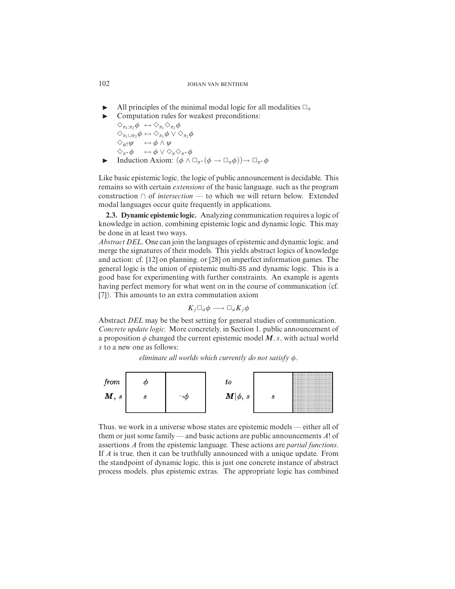- All principles of the minimal modal logic for all modalities  $\Box_{\pi}$
- Computation rules for weakest preconditions:
- $\Diamond_{\pi_1:\pi_2}\phi \leftrightarrow \Diamond_{\pi_1}\Diamond_{\pi_2}\phi$  $\Diamond_{\pi_1 \cup \pi_2} \phi \leftrightarrow \Diamond_{\pi_1} \phi \vee \Diamond_{\pi_2} \phi$  $\diamondsuit_{\phi?}\psi \quad \leftrightarrow \phi \land \psi$  $\Diamond_{\pi^*}\phi \quad \leftrightarrow \phi \lor \Diamond_{\pi} \Diamond_{\pi^*}\phi$
- Induction Axiom:  $(\phi \land \Box_{\pi^*}(\phi \rightarrow \Box_{\pi}\phi)) \rightarrow \Box_{\pi^*}\phi$

Like basic epistemic logic, the logic of public announcement is decidable. This remains so with certain *extensions* of the basic language, such as the program construction ∩ of *intersection* — to which we will return below. Extended modal languages occur quite frequently in applications.

**2.3. Dynamic epistemic logic.** Analyzing communication requires a logic of knowledge in action, combining epistemic logic and dynamic logic. This may be done in at least two ways.

*Abstract DEL.* One can join the languages of epistemic and dynamic logic, and merge the signatures of their models. This yields abstract logics of knowledge and action: cf. [12] on planning, or [28] on imperfect information games. The general logic is the union of epistemic multi-S5 and dynamic logic. This is a good base for experimenting with further constraints. An example is agents having perfect memory for what went on in the course of communication (cf. [7]). This amounts to an extra commutation axiom

$$
K_j \Box_a \phi \longrightarrow \Box_a K_j \phi
$$

Abstract *DEL* may be the best setting for general studies of communication. *Concrete update logic.* More concretely, in Section 1, public announcement of a proposition  $\phi$  changed the current epistemic model  $M$ , s, with actual world *s* to a new one as follows:

*eliminate all worlds which currently do not satisfy φ*.



Thus, we work in a universe whose states are epistemic models — either all of them or just some family — and basic actions are public announcements *A*! of assertions *A* from the epistemic language. These actions are *partial functions*. If *A* is true, then it can be truthfully announced with a unique update. From the standpoint of dynamic logic, this is just one concrete instance of abstract process models, plus epistemic extras. The appropriate logic has combined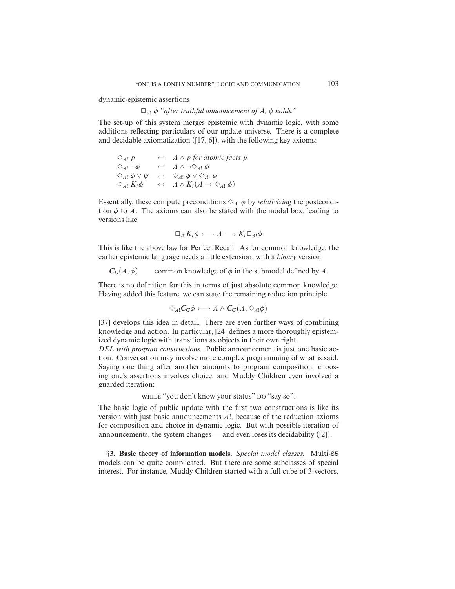dynamic-epistemic assertions

 $\Box_{A}$ <sup>*,*</sup>  $\phi$  "after truthful announcement of A,  $\phi$  holds."

The set-up of this system merges epistemic with dynamic logic, with some additions reflecting particulars of our update universe. There is a complete and decidable axiomatization ([17, 6]), with the following key axioms:

✸*<sup>A</sup>*! *p* ↔ *A* ∧ *p for atomic facts p*  $\diamondsuit_{A!}\neg\phi \qquad \leftrightarrow \quad A\wedge \neg \diamondsuit_{A!}\phi$  $\diamondsuit_{A!} \phi \vee \psi \leftrightarrow \diamondsuit_{A!} \phi \vee \diamondsuit_{A!} \psi$ <br>  $\diamondsuit_{A!} K_i \phi \leftrightarrow A \wedge K_i (A \rightarrow \diamondsuit_{A!} \phi)$ 

Essentially, these compute preconditions  $\Diamond_{A}$  *φ* by *relativizing* the postcondition  $\phi$  to *A*. The axioms can also be stated with the modal box, leading to versions like

$$
\Box_{A!} K_i \phi \longleftrightarrow A \longrightarrow K_i \Box_{A!} \phi
$$

This is like the above law for Perfect Recall. As for common knowledge, the earlier epistemic language needs a little extension, with a *binary* version

 $C_G(A, \phi)$  common knowledge of  $\phi$  in the submodel defined by *A*.

There is no definition for this in terms of just absolute common knowledge. Having added this feature, we can state the remaining reduction principle

$$
\Diamond_{A!} C_G \phi \longleftrightarrow A \land C_G (A, \Diamond_{A!} \phi)
$$

[37] develops this idea in detail. There are even further ways of combining knowledge and action. In particular, [24] defines a more thoroughly epistemized dynamic logic with transitions as objects in their own right.

*DEL with program constructions.* Public announcement is just one basic action. Conversation may involve more complex programming of what is said. Saying one thing after another amounts to program composition, choosing one's assertions involves choice, and Muddy Children even involved a guarded iteration:

## while "you don't know your status" po "say so".

The basic logic of public update with the first two constructions is like its version with just basic announcements *A*!, because of the reduction axioms for composition and choice in dynamic logic. But with possible iteration of announcements, the system changes — and even loses its decidability ([2]).

*§***3. Basic theory of information models.** *Special model classes.* Multi-S5 models can be quite complicated. But there are some subclasses of special interest. For instance, Muddy Children started with a full cube of 3-vectors,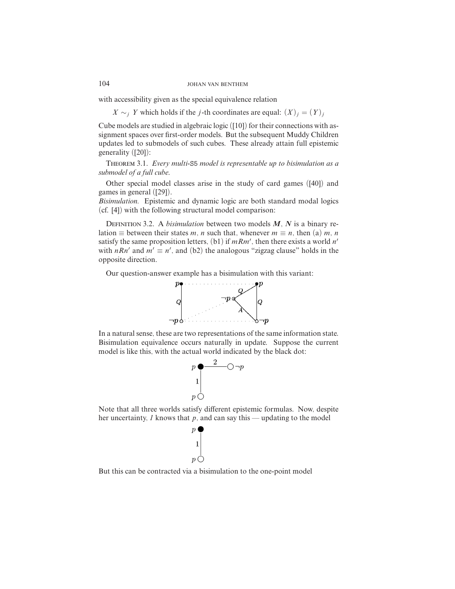with accessibility given as the special equivalence relation

*X* ∼*j Y* which holds if the *j*-th coordinates are equal:  $(X)$ <sup>*j*</sup> =  $(Y)$ *j* 

Cube models are studied in algebraic logic ([10]) for their connections with assignment spaces over first-order models. But the subsequent Muddy Children updates led to submodels of such cubes. These already attain full epistemic generality ([20]):

Theorem 3.1. *Every multi-*S5 *model is representable up to bisimulation as a submodel of a full cube.*

Other special model classes arise in the study of card games ([40]) and games in general ([29]).

*Bisimulation.* Epistemic and dynamic logic are both standard modal logics (cf. [4]) with the following structural model comparison:

Definition 3.2. A *bisimulation* between two models *M*, *N* is a binary relation  $\equiv$  between their states *m*, *n* such that, whenever  $m \equiv n$ , then (a) *m*, *n* satisfy the same proposition letters,  $(b1)$  if  $mRm'$ , then there exists a world  $n'$ with  $nRn'$  and  $m' \equiv n'$ , and (b2) the analogous "zigzag clause" holds in the opposite direction.

Our question-answer example has a bisimulation with this variant:



In a natural sense, these are two representations of the same information state. Bisimulation equivalence occurs naturally in update. Suppose the current model is like this, with the actual world indicated by the black dot:



Note that all three worlds satisfy different epistemic formulas. Now, despite her uncertainty, *1* knows that *p*, and can say this — updating to the model



But this can be contracted via a bisimulation to the one-point model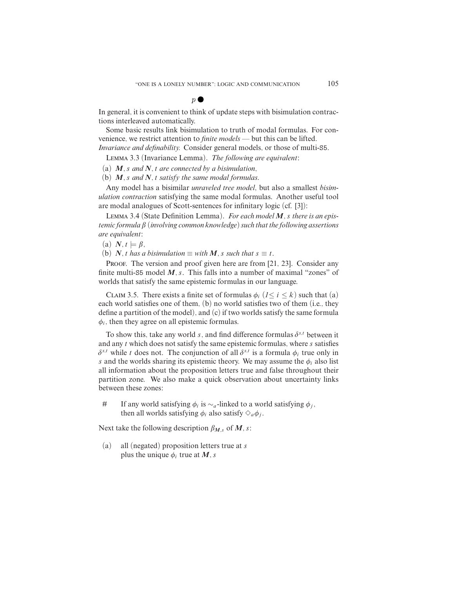$p$   $\bullet$ 

In general, it is convenient to think of update steps with bisimulation contractions interleaved automatically.

Some basic results link bisimulation to truth of modal formulas. For convenience, we restrict attention to *finite models* — but this can be lifted. *Invariance and definability.* Consider general models, or those of multi-S5.

Lemma 3.3 (Invariance Lemma). *The following are equivalent:*

- (a) *M, s and N, t are connected by a bisimulation,*
- (b) *M, s and N, t satisfy the same modal formulas.*

Any model has a bisimilar *unraveled tree model*, but also a smallest *bisimulation contraction* satisfying the same modal formulas. Another useful tool are modal analogues of Scott-sentences for infinitary logic (cf. [3]):

Lemma 3.4 (State Definition Lemma). *For each model M, s there is an epistemic formula (involving common knowledge) such that the following assertions are equivalent:*

(a)  $N, t \models \beta$ ,

(b) *N, t* has a bisimulation  $\equiv$  with **M**, *s* such that  $s \equiv t$ .

PROOF. The version and proof given here are from [21, 23]. Consider any finite multi-S5 model *M, s*. This falls into a number of maximal "zones" of worlds that satisfy the same epistemic formulas in our language.

CLAIM 3.5. There exists a finite set of formulas  $\phi_i$  ( $1 \le i \le k$ ) such that (a) each world satisfies one of them, (b) no world satisfies two of them (i.e., they define a partition of the model), and (c) if two worlds satisfy the same formula  $\phi_i$ , then they agree on all epistemic formulas.

To show this, take any world  $s$ , and find difference formulas  $\delta^{s,t}$  between it and any *t* which does not satisfy the same epistemic formulas, where *s* satisfies  $\delta^{s,t}$  while *t* does not. The conjunction of all  $\delta^{s,t}$  is a formula  $\phi_i$  true only in *s* and the worlds sharing its epistemic theory. We may assume the  $\phi_i$  also list all information about the proposition letters true and false throughout their partition zone. We also make a quick observation about uncertainty links between these zones:

# If any world satisfying *φi* is ∼*<sup>a</sup>* -linked to a world satisfying *φj* , then all worlds satisfying  $\phi_i$  also satisfy  $\Diamond_a \phi_i$ .

Next take the following description  $\beta_{M,s}$  of *M, s*:

(a) all (negated) proposition letters true at *s* plus the unique  $\phi_i$  true at *M*, *s*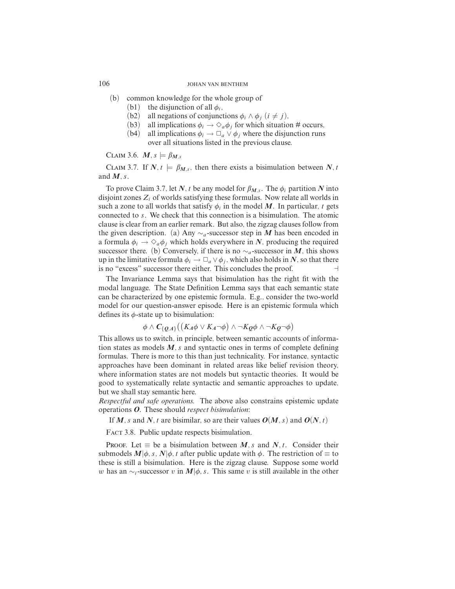- (b) common knowledge for the whole group of
	- (b1) the disjunction of all  $\phi_i$ ,
	- (b2) all negations of conjunctions  $\phi_i \wedge \phi_j$  ( $i \neq j$ ),
	- (b3) all implications  $\phi_i \rightarrow \Diamond_a \phi_j$  for which situation # occurs,
	- (b4) all implications  $\phi_i \to \Box_a \lor \phi_j$  where the disjunction runs over all situations listed in the previous clause.

CLAIM 3.6.  $M, s \models \beta_{M,s}$ 

CLAIM 3.7. If  $N, t \models \beta_{M,s}$ , then there exists a bisimulation between  $N, t$ and *M, s*.

To prove Claim 3.7, let *N, t* be any model for  $\beta_{M,s}$ . The  $\phi_i$  partition *N* into disjoint zones *Zi* of worlds satisfying these formulas. Now relate all worlds in such a zone to all worlds that satisfy  $\phi_i$  in the model M. In particular, *t* gets connected to *s*. We check that this connection is a bisimulation. The atomic clause is clear from an earlier remark. But also, the zigzag clauses follow from the given description. (a) Any  $\sim_a$ -successor step in *M* has been encoded in a formula  $\phi_i \rightarrow \Diamond_a \phi_j$  which holds everywhere in *N*, producing the required successor there. (b) Conversely, if there is no  $\sim_a$ -successor in *M*, this shows up in the limitative formula  $\phi_i \to \Box_a \lor \phi_i$ , which also holds in *N*, so that there is no "excess" successor there either. This concludes the proof.

The Invariance Lemma says that bisimulation has the right fit with the modal language. The State Definition Lemma says that each semantic state can be characterized by one epistemic formula. E.g., consider the two-world model for our question-answer episode. Here is an epistemic formula which defines its *φ*-state up to bisimulation:

$$
\phi \land \boldsymbol{C}_{\{\boldsymbol{Q},A\}}\big(\big(K_{A}\phi \lor K_{A}\neg\phi\big) \land \neg K_{\boldsymbol{Q}}\phi \land \neg K_{\boldsymbol{Q}}\neg\phi\big)
$$

This allows us to switch, in principle, between semantic accounts of information states as models *M, s* and syntactic ones in terms of complete defining formulas. There is more to this than just technicality. For instance, syntactic approaches have been dominant in related areas like belief revision theory, where information states are not models but syntactic theories. It would be good to systematically relate syntactic and semantic approaches to update, but we shall stay semantic here.

*Respectful and safe operations.* The above also constrains epistemic update operations *O*. These should *respect bisimulation*:

If *M, s* and *N, t* are bisimilar, so are their values  $O(M, s)$  and  $O(N, t)$ 

FACT 3.8. Public update respects bisimulation.

PROOF. Let  $\equiv$  be a bisimulation between *M*, *s* and *N*, *t*. Consider their submodels  $M|\phi, s, N|\phi, t$  after public update with  $\phi$ . The restriction of  $\equiv$  to these is still a bisimulation. Here is the zigzag clause. Suppose some world *w* has an  $\sim_i$ -successor *v* in *M*| $\phi$ , *s*. This same *v* is still available in the other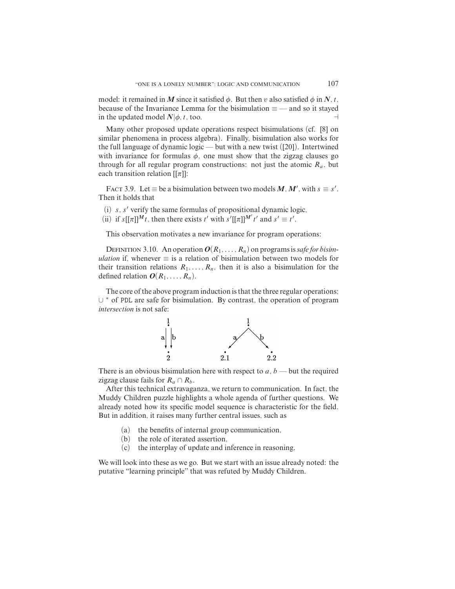model: it remained in *M* since it satisfied  $\phi$ . But then *v* also satisfied  $\phi$  in *N, t*, because of the Invariance Lemma for the bisimulation  $\equiv$  — and so it stayed in the updated model  $N|\phi, t$ , too.

Many other proposed update operations respect bisimulations (cf. [8] on similar phenomena in process algebra). Finally, bisimulation also works for the full language of dynamic logic — but with a new twist  $(20)$ ). Intertwined with invariance for formulas  $\phi$ , one must show that the zigzag clauses go through for all regular program constructions: not just the atomic  $R_a$ , but each transition relation  $[[\pi]]$ :

FACT 3.9. Let  $\equiv$  be a bisimulation between two models *M*, *M'*, with  $s \equiv s'$ . Then it holds that

(i) *s*, *s* verify the same formulas of propositional dynamic logic,

(ii) if  $s[[\pi]]^M t$ , then there exists  $t'$  with  $s'[[\pi]]^{M'} t'$  and  $s' \equiv t'$ .

This observation motivates a new invariance for program operations:

DEFINITION 3.10. An operation  $O(R_1, \ldots, R_n)$  on programs is *safe for bisimulation* if, whenever  $\equiv$  is a relation of bisimulation between two models for their transition relations  $R_1, \ldots, R_n$ , then it is also a bisimulation for the defined relation  $O(R_1, \ldots, R_n)$ .

The core of the above program induction is that the three regular operations; ∪ <sup>∗</sup> of PDL are safe for bisimulation. By contrast, the operation of program *intersection* is not safe:



There is an obvious bisimulation here with respect to  $a, b$  — but the required zigzag clause fails for  $R_a \cap R_b$ .

After this technical extravaganza, we return to communication. In fact, the Muddy Children puzzle highlights a whole agenda of further questions. We already noted how its specific model sequence is characteristic for the field. But in addition, it raises many further central issues, such as

- (a) the benefits of internal group communication,
- (b) the role of iterated assertion,
- (c) the interplay of update and inference in reasoning.

We will look into these as we go. But we start with an issue already noted: the putative "learning principle" that was refuted by Muddy Children.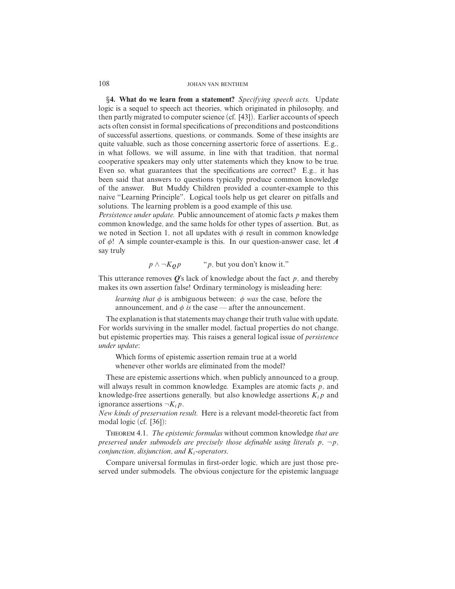*§***4. What do we learn from a statement?** *Specifying speech acts.* Update logic is a sequel to speech act theories, which originated in philosophy, and then partly migrated to computer science (cf. [43]). Earlier accounts of speech acts often consist in formal specifications of preconditions and postconditions of successful assertions, questions, or commands. Some of these insights are quite valuable, such as those concerning assertoric force of assertions. E.g., in what follows, we will assume, in line with that tradition, that normal cooperative speakers may only utter statements which they know to be true. Even so, what guarantees that the specifications are correct? E.g., it has been said that answers to questions typically produce common knowledge of the answer. But Muddy Children provided a counter-example to this naive "Learning Principle". Logical tools help us get clearer on pitfalls and solutions. The learning problem is a good example of this use.

*Persistence under update.* Public announcement of atomic facts *p* makes them common knowledge, and the same holds for other types of assertion. But, as we noted in Section 1, not all updates with *φ* result in common knowledge of *φ*! A simple counter-example is this. In our question-answer case, let *A* say truly

$$
p \wedge \neg K_{\mathcal{Q}} p
$$
 "p, but you don't know it."

This utterance removes  $Q$ 's lack of knowledge about the fact  $p$ , and thereby makes its own assertion false! Ordinary terminology is misleading here:

*learning that*  $\phi$  is ambiguous between:  $\phi$  *was* the case, before the announcement, and  $\phi$  *is* the case — after the announcement.

The explanation is that statements may change their truth value with update. For worlds surviving in the smaller model, factual properties do not change, but epistemic properties may. This raises a general logical issue of *persistence under update*:

Which forms of epistemic assertion remain true at a world whenever other worlds are eliminated from the model?

These are epistemic assertions which, when publicly announced to a group, will always result in common knowledge. Examples are atomic facts *p*, and knowledge-free assertions generally, but also knowledge assertions  $K_i p$  and ignorance assertions  $\neg K_i p$ .

*New kinds of preservation result.* Here is a relevant model-theoretic fact from modal logic (cf. [36]):

Theorem 4.1. *The epistemic formulas* without common knowledge *that are preserved under submodels are precisely those definable using literals*  $p, \neg p$ *, conjunction, disjunction, and Ki-operators.*

Compare universal formulas in first-order logic, which are just those preserved under submodels. The obvious conjecture for the epistemic language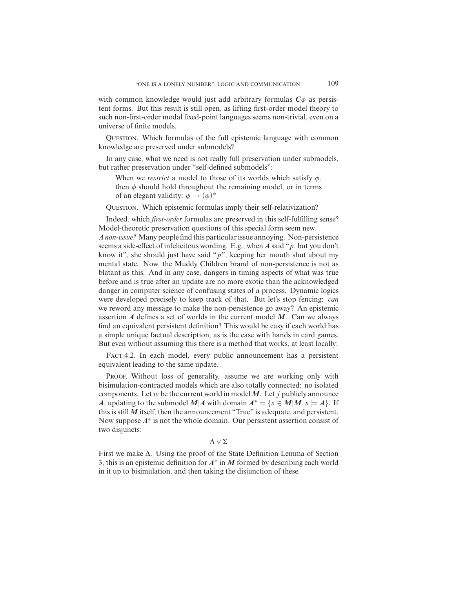with common knowledge would just add arbitrary formulas  $C\phi$  as persistent forms. But this result is still open, as lifting first-order model theory to such non-first-order modal fixed-point languages seems non-trivial, even on a universe of finite models.

Question. Which formulas of the full epistemic language with common knowledge are preserved under submodels?

In any case, what we need is not really full preservation under submodels, but rather preservation under "self-defined submodels":

When we *restrict* a model to those of its worlds which satisfy *φ*, then *φ* should hold throughout the remaining model, or in terms of an elegant validity:  $\phi \rightarrow (\phi)^{\phi}$ 

Question. Which epistemic formulas imply their self-relativization?

Indeed, which *first-order* formulas are preserved in this self-fulfilling sense? Model-theoretic preservation questions of this special form seem new. *A non-issue?* Many people find this particular issue annoying. Non-persistence seems a side-effect of infelicitous wording. E.g., when *A* said "*p*, but you don't know it", she should just have said "*p*", keeping her mouth shut about my mental state. Now, the Muddy Children brand of non-persistence is not as blatant as this. And in any case, dangers in timing aspects of what was true before and is true after an update are no more exotic than the acknowledged danger in computer science of confusing states of a process. Dynamic logics were developed precisely to keep track of that. But let's stop fencing: *can* we reword any message to make the non-persistence go away? An epistemic assertion *A* defines a set of worlds in the current model *M*. Can we always find an equivalent persistent definition? This would be easy if each world has a simple unique factual description, as is the case with hands in card games. But even without assuming this there is a method that works, at least locally:

FACT 4.2. In each model, every public announcement has a persistent equivalent leading to the same update.

PROOF. Without loss of generality, assume we are working only with bisimulation-contracted models which are also totally connected: no isolated components. Let *w* be the current world in model *M*. Let *j* publicly announce *A*, updating to the submodel *M*|*A* with domain  $A^* = \{s \in M | M, s \models A\}$ . If this is still  $M$  itself, then the announcement "True" is adequate, and persistent. Now suppose *A*<sup>∗</sup> is not the whole domain. Our persistent assertion consist of two disjuncts:

## $Δ ∨ Σ$

First we make ∆. Using the proof of the State Definition Lemma of Section 3, this is an epistemic definition for *A*<sup>∗</sup> in *M* formed by describing each world in it up to bisimulation, and then taking the disjunction of these.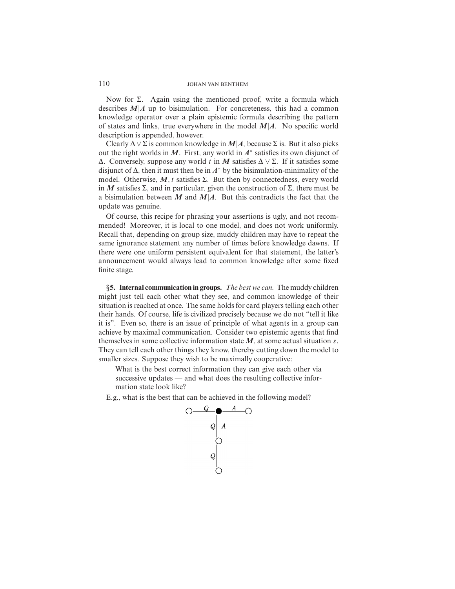Now for  $\Sigma$ . Again using the mentioned proof, write a formula which describes  $M/A$  up to bisimulation. For concreteness, this had a common knowledge operator over a plain epistemic formula describing the pattern of states and links, true everywhere in the model *M*|*A*. No specific world description is appended, however.

Clearly  $\Delta \vee \Sigma$  is common knowledge in  $M/A$ , because  $\Sigma$  is. But it also picks out the right worlds in *M*. First, any world in *A*<sup>∗</sup> satisfies its own disjunct of ∆. Conversely, suppose any world *t* in *M* satisfies ∆ ∨ Σ. If it satisfies some disjunct of ∆, then it must then be in *A*<sup>∗</sup> by the bisimulation-minimality of the model. Otherwise,  $M$ , t satisfies  $\Sigma$ . But then by connectedness, every world in *M* satisfies  $\Sigma$ , and in particular, given the construction of  $\Sigma$ , there must be a bisimulation between  $M$  and  $M|A$ . But this contradicts the fact that the update was genuine.

Of course, this recipe for phrasing your assertions is ugly, and not recommended! Moreover, it is local to one model, and does not work uniformly. Recall that, depending on group size, muddy children may have to repeat the same ignorance statement any number of times before knowledge dawns. If there were one uniform persistent equivalent for that statement, the latter's announcement would always lead to common knowledge after some fixed finite stage.

*§***5. Internal communication in groups.** *The best we can.* The muddy children might just tell each other what they see, and common knowledge of their situation is reached at once. The same holds for card players telling each other their hands. Of course, life is civilized precisely because we do not "tell it like it is". Even so, there is an issue of principle of what agents in a group can achieve by maximal communication. Consider two epistemic agents that find themselves in some collective information state *M*, at some actual situation *s*. They can tell each other things they know, thereby cutting down the model to smaller sizes. Suppose they wish to be maximally cooperative:

What is the best correct information they can give each other via successive updates — and what does the resulting collective information state look like?

E.g., what is the best that can be achieved in the following model?

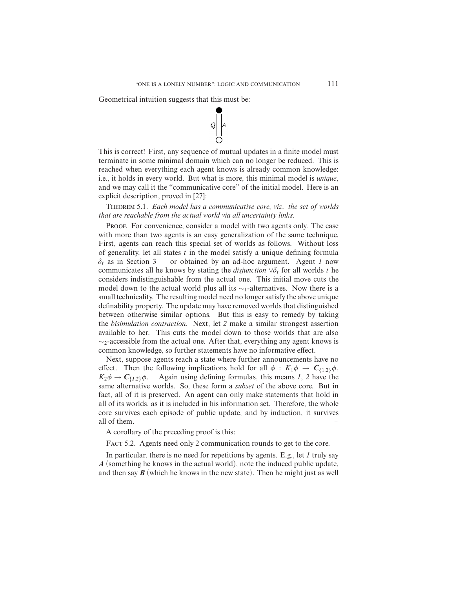Geometrical intuition suggests that this must be:



This is correct! First, any sequence of mutual updates in a finite model must terminate in some minimal domain which can no longer be reduced. This is reached when everything each agent knows is already common knowledge: i.e., it holds in every world. But what is more, this minimal model is *unique*, and we may call it the "communicative core" of the initial model. Here is an explicit description, proved in [27]:

Theorem 5.1. *Each model has a communicative core, viz. the set of worlds that are reachable from the actual world via all uncertainty links.*

PROOF. For convenience, consider a model with two agents only. The case with more than two agents is an easy generalization of the same technique. First, agents can reach this special set of worlds as follows. Without loss of generality, let all states *t* in the model satisfy a unique defining formula  $\delta_t$  as in Section 3 — or obtained by an ad-hoc argument. Agent *1* now communicates all he knows by stating the *disjunction*  $\forall \delta_t$  for all worlds *t* he considers indistinguishable from the actual one. This initial move cuts the model down to the actual world plus all its  $\sim$ <sub>1</sub>-alternatives. Now there is a small technicality. The resulting model need no longer satisfy the above unique definability property. The update may have removed worlds that distinguished between otherwise similar options. But this is easy to remedy by taking the *bisimulation contraction*. Next, let *2* make a similar strongest assertion available to her. This cuts the model down to those worlds that are also  $\sim$ <sub>2</sub>-accessible from the actual one. After that, everything any agent knows is common knowledge, so further statements have no informative effect.

Next, suppose agents reach a state where further announcements have no effect. Then the following implications hold for all  $\phi : K_1 \phi \to C_{\{1,2\}} \phi$ ,  $K_2\phi \rightarrow C_{\{1,2\}}\phi$ . Again using defining formulas, this means *1*, *2* have the same alternative worlds. So, these form a *subset* of the above core. But in fact, all of it is preserved. An agent can only make statements that hold in all of its worlds, as it is included in his information set. Therefore, the whole core survives each episode of public update, and by induction, it survives all of them.  $\Box$ 

A corollary of the preceding proof is this:

FACT 5.2. Agents need only 2 communication rounds to get to the core.

In particular, there is no need for repetitions by agents. E.g., let *1* truly say *A* (something he knows in the actual world), note the induced public update, and then say  $\bm{B}$  (which he knows in the new state). Then he might just as well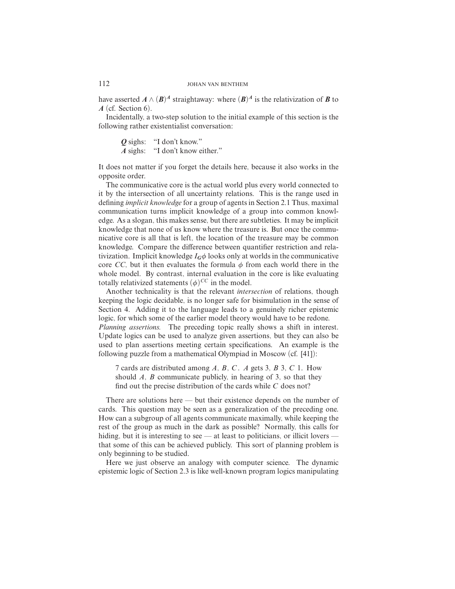have asserted  $A \wedge (B)^A$  straightaway: where  $(B)^A$  is the relativization of *B* to *A* (cf. Section 6).

Incidentally, a two-step solution to the initial example of this section is the following rather existentialist conversation:

*Q* sighs: "I don't know." *A* sighs: "I don't know either."

It does not matter if you forget the details here, because it also works in the opposite order.

The communicative core is the actual world plus every world connected to it by the intersection of all uncertainty relations. This is the range used in defining *implicit knowledge* for a group of agents in Section 2.1 Thus, maximal communication turns implicit knowledge of a group into common knowledge. As a slogan, this makes sense, but there are subtleties. It may be implicit knowledge that none of us know where the treasure is. But once the communicative core is all that is left, the location of the treasure may be common knowledge. Compare the difference between quantifier restriction and relativization. Implicit knowledge  $I_G\phi$  looks only at worlds in the communicative core *CC*, but it then evaluates the formula  $\phi$  from each world there in the whole model. By contrast, internal evaluation in the core is like evaluating totally relativized statements  $(\phi)^{CC}$  in the model.

Another technicality is that the relevant *intersection* of relations, though keeping the logic decidable, is no longer safe for bisimulation in the sense of Section 4. Adding it to the language leads to a genuinely richer epistemic logic, for which some of the earlier model theory would have to be redone.

*Planning assertions.* The preceding topic really shows a shift in interest. Update logics can be used to analyze given assertions, but they can also be used to plan assertions meeting certain specifications. An example is the following puzzle from a mathematical Olympiad in Moscow (cf. [41]):

7 cards are distributed among *A*, *B*, *C* . *A* gets 3, *B* 3, *C* 1. How should *A*, *B* communicate publicly, in hearing of 3, so that they find out the precise distribution of the cards while *C* does not?

There are solutions here — but their existence depends on the number of cards. This question may be seen as a generalization of the preceding one. How can a subgroup of all agents communicate maximally, while keeping the rest of the group as much in the dark as possible? Normally, this calls for hiding, but it is interesting to see — at least to politicians, or illicit lovers that some of this can be achieved publicly. This sort of planning problem is only beginning to be studied.

Here we just observe an analogy with computer science. The dynamic epistemic logic of Section 2.3 is like well-known program logics manipulating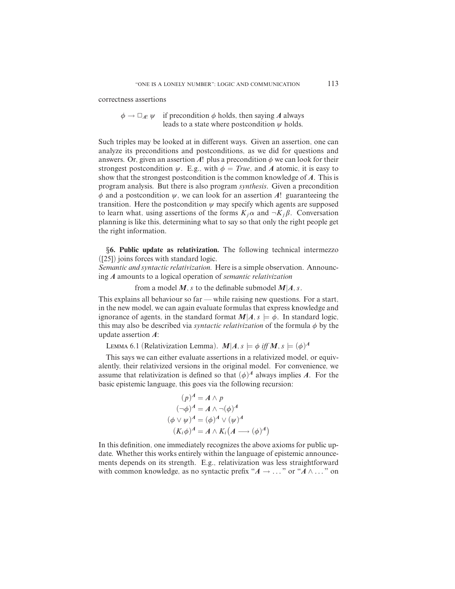correctness assertions

## $\phi \rightarrow \Box_{A}$ !  $\psi$  if precondition  $\phi$  holds, then saying *A* always leads to a state where postcondition  $\psi$  holds.

Such triples may be looked at in different ways. Given an assertion, one can analyze its preconditions and postconditions, as we did for questions and answers. Or, given an assertion  $A!$  plus a precondition  $\phi$  we can look for their strongest postcondition  $\psi$ . E.g., with  $\phi = True$ , and A atomic, it is easy to show that the strongest postcondition is the common knowledge of *A*. This is program analysis. But there is also program *synthesis*. Given a precondition  $\phi$  and a postcondition  $\psi$ , we can look for an assertion A! guaranteeing the transition. Here the postcondition  $\psi$  may specify which agents are supposed to learn what, using assertions of the forms  $K_i\alpha$  and  $\neg K_i\beta$ . Conversation planning is like this, determining what to say so that only the right people get the right information.

*§***6. Public update as relativization.** The following technical intermezzo ([25]) joins forces with standard logic.

*Semantic and syntactic relativization.* Here is a simple observation. Announcing *A* amounts to a logical operation of *semantic relativization*

from a model *M, s* to the definable submodel *M*|*A, s*.

This explains all behaviour so far — while raising new questions. For a start, in the new model, we can again evaluate formulas that express knowledge and ignorance of agents, in the standard format  $M|A, s \models \phi$ . In standard logic, this may also be described via *syntactic relativization* of the formula *φ* by the update assertion *A*:

LEMMA 6.1 (Relativization Lemma).  $M|A, s \models \phi \text{ iff } M, s \models (\phi)^A$ 

This says we can either evaluate assertions in a relativized model, or equivalently, their relativized versions in the original model. For convenience, we assume that relativization is defined so that  $(\phi)^A$  always implies A. For the basic epistemic language, this goes via the following recursion:

$$
(p)^A = A \land p
$$
  
\n
$$
(\neg \phi)^A = A \land \neg (\phi)^A
$$
  
\n
$$
(\phi \lor \psi)^A = (\phi)^A \lor (\psi)^A
$$
  
\n
$$
(K_i \phi)^A = A \land K_i (A \longrightarrow (\phi)^A)
$$

In this definition, one immediately recognizes the above axioms for public update. Whether this works entirely within the language of epistemic announcements depends on its strength. E.g., relativization was less straightforward with common knowledge, as no syntactic prefix " $A \rightarrow \ldots$ " or " $A \wedge \ldots$ " on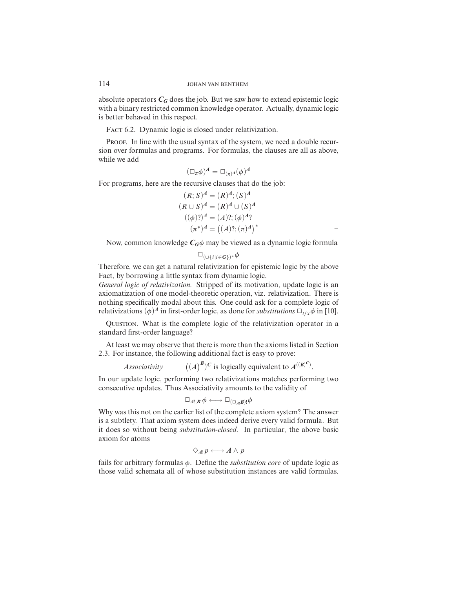absolute operators  $C_G$  does the job. But we saw how to extend epistemic logic with a binary restricted common knowledge operator. Actually, dynamic logic is better behaved in this respect.

FACT 6.2. Dynamic logic is closed under relativization.

PROOF. In line with the usual syntax of the system, we need a double recursion over formulas and programs. For formulas, the clauses are all as above, while we add

$$
(\Box_{\pi}\phi)^{A}=\Box_{(\pi)^{A}}(\phi)^{A}
$$

For programs, here are the recursive clauses that do the job:

$$
(R; S)A = (R)A; (S)A
$$
  
\n
$$
(R \cup S)A = (R)A \cup (S)A
$$
  
\n
$$
((\phi)?)A = (A)?; (\phi)A?
$$
  
\n
$$
(\pi^*)A = ((A)?; (\pi)A)^*
$$

Now, common knowledge  $C_G\phi$  may be viewed as a dynamic logic formula

$$
\Box_{(\cup\{i|i\in G\})^*}\phi
$$

Therefore, we can get a natural relativization for epistemic logic by the above Fact, by borrowing a little syntax from dynamic logic.

*General logic of relativization.* Stripped of its motivation, update logic is an axiomatization of one model-theoretic operation, viz. relativization. There is nothing specifically modal about this. One could ask for a complete logic of relativizations  $(\phi)^A$  in first-order logic, as done for *substitutions*  $\Box_{t/x}\phi$  in [10].

Question. What is the complete logic of the relativization operator in a standard first-order language?

At least we may observe that there is more than the axioms listed in Section 2.3. For instance, the following additional fact is easy to prove:

> *Associativity*  $(A)^{B}$ <sup>C</sup> is logically equivalent to  $A^{((B)^{C})}$ .

In our update logic, performing two relativizations matches performing two consecutive updates. Thus Associativity amounts to the validity of

$$
\Box_{A!;B!}\phi \longleftrightarrow \Box_{(\Box_{A!}B)!}\phi
$$

Why was this not on the earlier list of the complete axiom system? The answer is a subtlety. That axiom system does indeed derive every valid formula. But it does so without being *substitution-closed*. In particular, the above basic axiom for atoms

$$
\Diamond_{A!} p \longleftrightarrow A \land p
$$

fails for arbitrary formulas *φ*. Define the *substitution core* of update logic as those valid schemata all of whose substitution instances are valid formulas.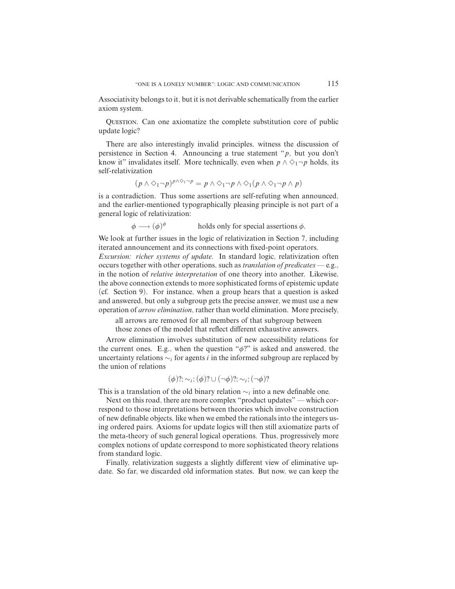Associativity belongs to it, but it is not derivable schematically from the earlier axiom system.

Question. Can one axiomatize the complete substitution core of public update logic?

There are also interestingly invalid principles, witness the discussion of persistence in Section 4. Announcing a true statement "*p*, but you don't know it" invalidates itself. More technically, even when  $p \wedge \Diamond_1 \neg p$  holds, its self-relativization

$$
(p \land \Diamond_1 \neg p)^{p \land \Diamond_1 \neg p} = p \land \Diamond_1 \neg p \land \Diamond_1 (p \land \Diamond_1 \neg p \land p)
$$

is a contradiction. Thus some assertions are self-refuting when announced, and the earlier-mentioned typographically pleasing principle is not part of a general logic of relativization:

> $\phi \longrightarrow (\phi)^{\phi}$ holds only for special assertions  $\phi$ .

We look at further issues in the logic of relativization in Section 7, including iterated announcement and its connections with fixed-point operators. *Excursion: richer systems of update.* In standard logic, relativization often occurs together with other operations, such as *translation of predicates* — e.g., in the notion of *relative interpretation* of one theory into another. Likewise, the above connection extends to more sophisticated forms of epistemic update (cf. Section 9). For instance, when a group hears that a question is asked and answered, but only a subgroup gets the precise answer, we must use a new operation of *arrow elimination*, rather than world elimination. More precisely,

all arrows are removed for all members of that subgroup between

those zones of the model that reflect different exhaustive answers.

Arrow elimination involves substitution of new accessibility relations for the current ones. E.g., when the question "*φ*?" is asked and answered, the uncertainty relations ∼*<sup>i</sup>* for agents *i* in the informed subgroup are replaced by the union of relations

$$
(\phi)?; \sim_i; (\phi)? \cup (\neg \phi)?; \sim_i; (\neg \phi)?
$$

This is a translation of the old binary relation ∼*<sup>i</sup>* into a new definable one.

Next on this road, there are more complex "product updates" — which correspond to those interpretations between theories which involve construction of new definable objects, like when we embed the rationals into the integers using ordered pairs. Axioms for update logics will then still axiomatize parts of the meta-theory of such general logical operations. Thus, progressively more complex notions of update correspond to more sophisticated theory relations from standard logic.

Finally, relativization suggests a slightly different view of eliminative update. So far, we discarded old information states. But now, we can keep the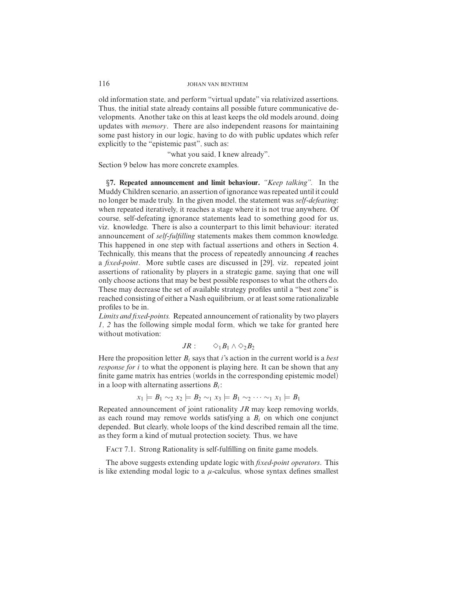old information state, and perform "virtual update" via relativized assertions. Thus, the initial state already contains all possible future communicative developments. Another take on this at least keeps the old models around, doing updates with *memory*. There are also independent reasons for maintaining some past history in our logic, having to do with public updates which refer explicitly to the "epistemic past", such as:

"what you said, I knew already".

Section 9 below has more concrete examples.

*§***7. Repeated announcement and limit behaviour.** *"Keep talking".* In the Muddy Children scenario, an assertion of ignorance was repeated until it could no longer be made truly. In the given model, the statement was *self-defeating*: when repeated iteratively, it reaches a stage where it is not true anywhere. Of course, self-defeating ignorance statements lead to something good for us, viz. knowledge. There is also a counterpart to this limit behaviour: iterated announcement of *self-fulfilling* statements makes them common knowledge. This happened in one step with factual assertions and others in Section 4. Technically, this means that the process of repeatedly announcing *A* reaches a *fixed-point*. More subtle cases are discussed in [29], viz. repeated joint assertions of rationality by players in a strategic game, saying that one will only choose actions that may be best possible responses to what the others do. These may decrease the set of available strategy profiles until a "best zone" is reached consisting of either a Nash equilibrium, or at least some rationalizable profiles to be in.

*Limits and fixed-points.* Repeated announcement of rationality by two players *1*, *2* has the following simple modal form, which we take for granted here without motivation:

$$
JR: \qquad \Diamond_1B_1 \wedge \Diamond_2B_2
$$

Here the proposition letter  $B_i$  says that *i*'s action in the current world is a *best response for i* to what the opponent is playing here. It can be shown that any finite game matrix has entries (worlds in the corresponding epistemic model) in a loop with alternating assertions  $B_i$ :

$$
x_1 \models B_1 \sim_2 x_2 \models B_2 \sim_1 x_3 \models B_1 \sim_2 \cdots \sim_1 x_1 \models B_1
$$

Repeated announcement of joint rationality *JR* may keep removing worlds, as each round may remove worlds satisfying a  $B_i$  on which one conjunct depended. But clearly, whole loops of the kind described remain all the time, as they form a kind of mutual protection society. Thus, we have

FACT 7.1. Strong Rationality is self-fulfilling on finite game models.

The above suggests extending update logic with *fixed-point operators*. This is like extending modal logic to a  $\mu$ -calculus, whose syntax defines smallest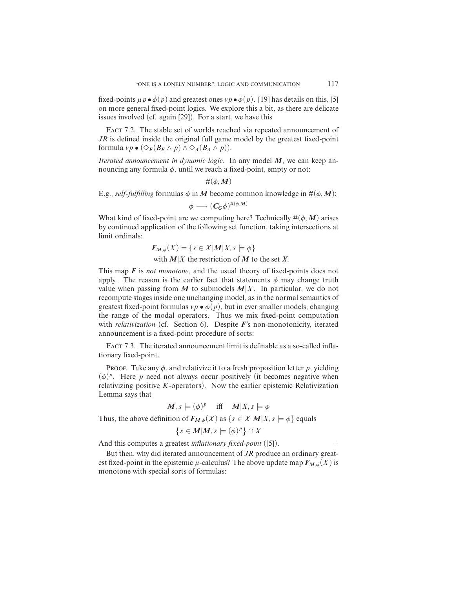fixed-points  $\mu p \bullet \phi(p)$  and greatest ones  $vp \bullet \phi(p)$ . [19] has details on this, [5] on more general fixed-point logics. We explore this a bit, as there are delicate issues involved (cf. again [29]). For a start, we have this

FACT 7.2. The stable set of worlds reached via repeated announcement of *JR* is defined inside the original full game model by the greatest fixed-point formula  $vp \bullet (\Diamond_E (B_E \land p) \land \Diamond_A (B_A \land p)).$ 

*Iterated announcement in dynamic logic.* In any model *M*, we can keep announcing any formula *φ*, until we reach a fixed-point, empty or not:

$$
\#(\phi,\bm{M})
$$

E.g., *self-fulfilling* formulas  $\phi$  in *M* become common knowledge in  $\#(\phi, M)$ :

$$
\phi \longrightarrow (C_G\phi)^{\#(\phi,M)}
$$

What kind of fixed-point are we computing here? Technically  $\#(\phi, M)$  arises by continued application of the following set function, taking intersections at limit ordinals:

$$
\boldsymbol{F}_{\boldsymbol{M},\phi}(X)=\{s\in X|\boldsymbol{M}|X,s\models\phi\}
$$

with  $M|X$  the restriction of  $M$  to the set  $X$ .

This map *F* is *not monotone*, and the usual theory of fixed-points does not apply. The reason is the earlier fact that statements  $\phi$  may change truth value when passing from  $M$  to submodels  $M/X$ . In particular, we do not recompute stages inside one unchanging model, as in the normal semantics of greatest fixed-point formulas  $vp \bullet \phi(p)$ , but in ever smaller models, changing the range of the modal operators. Thus we mix fixed-point computation with *relativization* (cf. Section 6). Despite *F*'s non-monotonicity, iterated announcement is a fixed-point procedure of sorts:

Fact 7.3. The iterated announcement limit is definable as a so-called inflationary fixed-point.

PROOF. Take any  $\phi$ , and relativize it to a fresh proposition letter p, yielding  $(\phi)^p$ . Here *p* need not always occur positively (it becomes negative when relativizing positive *K*-operators). Now the earlier epistemic Relativization Lemma says that

$$
M, s \models (\phi)^p \quad \text{iff} \quad M|X, s \models \phi
$$

Thus, the above definition of  $F_{M,\phi}(X)$  as  $\{s \in X | M | X, s \models \phi\}$  equals

$$
\{s \in M | M, s \models (\phi)^p\} \cap X
$$

And this computes a greatest *inflationary fixed-point* ([5]).

But then, why did iterated announcement of *JR* produce an ordinary greatest fixed-point in the epistemic  $\mu$ -calculus? The above update map  $F_{M,\phi}(X)$  is monotone with special sorts of formulas: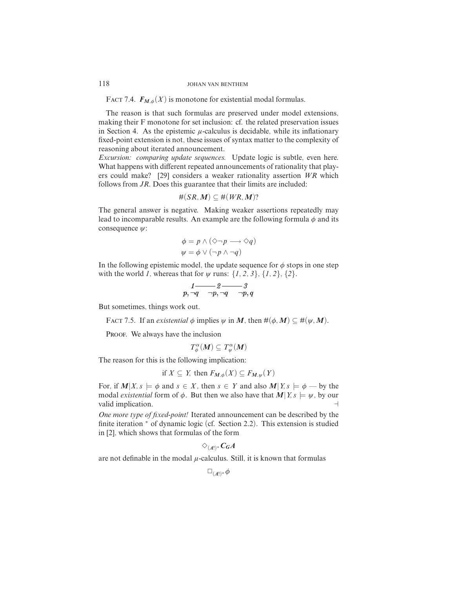FACT 7.4.  $F_{M,\phi}(X)$  is monotone for existential modal formulas.

The reason is that such formulas are preserved under model extensions, making their F monotone for set inclusion: cf. the related preservation issues in Section 4. As the epistemic  $\mu$ -calculus is decidable, while its inflationary fixed-point extension is not, these issues of syntax matter to the complexity of reasoning about iterated announcement.

*Excursion: comparing update sequences.* Update logic is subtle, even here. What happens with different repeated announcements of rationality that players could make? [29] considers a weaker rationality assertion *WR* which follows from *JR*. Does this guarantee that their limits are included:

$$
\#(SR, M) \subseteq \#(WR, M)?
$$

The general answer is negative. Making weaker assertions repeatedly may lead to incomparable results. An example are the following formula  $\phi$  and its consequence  $\psi$ :

$$
\phi = p \land (\Diamond \neg p \longrightarrow \Diamond q)
$$

$$
\psi = \phi \lor (\neg p \land \neg q)
$$

In the following epistemic model, the update sequence for  $\phi$  stops in one step with the world *1*, whereas that for  $\psi$  runs:  $\{1, 2, 3\}, \{1, 2\}, \{2\}.$ 

$$
\begin{array}{c}\n 1-\qquad \qquad 2-\qquad \qquad 3 \\
p,\neg q \quad \neg p,\neg q \quad \neg p,q\n \end{array}
$$

But sometimes, things work out.

FACT 7.5. If an *existential*  $\phi$  implies  $\psi$  in *M*, then  $\#(\phi, M) \subseteq \#(\psi, M)$ .

PROOF. We always have the inclusion

$$
T^{\alpha}_{\phi}(M) \subseteq T^{\alpha}_{\psi}(M)
$$

The reason for this is the following implication:

if 
$$
X \subseteq Y
$$
, then  $F_{M,\phi}(X) \subseteq F_{M,\psi}(Y)$ 

For, if  $M|X, s \models \phi$  and  $s \in X$ , then  $s \in Y$  and also  $M|Y, s \models \phi$  — by the modal *existential* form of  $\phi$ . But then we also have that  $M|Y$ ,  $s \models \psi$ , by our valid implication.

*One more type of fixed-point!* Iterated announcement can be described by the finite iteration \* of dynamic logic (cf. Section 2.2). This extension is studied in [2], which shows that formulas of the form

$$
\Diamond_{(A!)^*}C_GA
$$

are not definable in the modal  $\mu$ -calculus. Still, it is known that formulas

$$
\Box_{(A!)^*} \phi
$$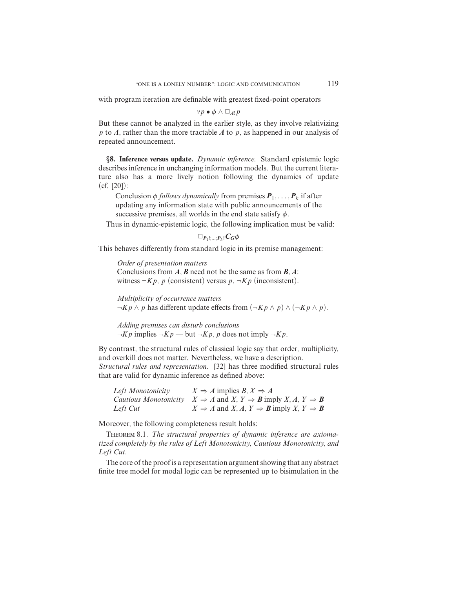with program iteration are definable with greatest fixed-point operators

 $vp \bullet \phi \wedge \Box_{A}p$ 

But these cannot be analyzed in the earlier style, as they involve relativizing *p* to *A*, rather than the more tractable *A* to *p*, as happened in our analysis of repeated announcement.

*§***8. Inference versus update.** *Dynamic inference.* Standard epistemic logic describes inference in unchanging information models. But the current literature also has a more lively notion following the dynamics of update (cf. [20]):

Conclusion  $\phi$  *follows dynamically* from premises  $P_1, \ldots, P_k$  if after updating any information state with public announcements of the successive premises, all worlds in the end state satisfy  $\phi$ .

Thus in dynamic-epistemic logic, the following implication must be valid:

 $\square_{P_1! \dots P_k} C_G \phi$ 

This behaves differently from standard logic in its premise management:

*Order of presentation matters* Conclusions from *A,B* need not be the same as from *B, A*: witness  $\neg Kp$ , *p* (consistent) versus  $p$ ,  $\neg Kp$  (inconsistent).

*Multiplicity of occurrence matters*  $\neg Kp \wedge p$  has different update effects from  $(\neg Kp \wedge p) \wedge (\neg Kp \wedge p)$ .

*Adding premises can disturb conclusions*  $\neg Kp$  implies  $\neg Kp$  — but  $\neg Kp$ , p does not imply  $\neg Kp$ .

By contrast, the structural rules of classical logic say that order, multiplicity, and overkill does not matter. Nevertheless, we have a description. *Structural rules and representation.* [32] has three modified structural rules that are valid for dynamic inference as defined above:

| Left Monotonicity | $X \Rightarrow A$ implies $B, X \Rightarrow A$                                                        |
|-------------------|-------------------------------------------------------------------------------------------------------|
|                   | <i>Cautious Monotonicity</i> $X \Rightarrow A$ and $X, Y \Rightarrow B$ imply $X, A, Y \Rightarrow B$ |
| Left Cut          | $X \Rightarrow A$ and X, A, $Y \Rightarrow B$ imply X, $Y \Rightarrow B$                              |

Moreover, the following completeness result holds:

THEOREM 8.1. The structural properties of dynamic inference are axioma*tized completely by the rules of Left Monotonicity, Cautious Monotonicity, and Left Cut.*

The core of the proof is a representation argument showing that any abstract finite tree model for modal logic can be represented up to bisimulation in the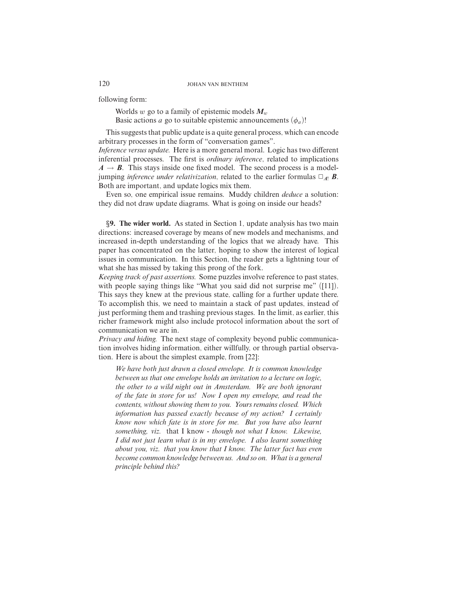following form:

Worlds *w* go to a family of epistemic models  $M_w$ Basic actions *a* go to suitable epistemic announcements  $(\phi_a)$ !

This suggests that public update is a quite general process, which can encode arbitrary processes in the form of "conversation games". *Inference versus update.* Here is a more general moral. Logic has two different inferential processes. The first is *ordinary inference*, related to implications

 $A \rightarrow B$ . This stays inside one fixed model. The second process is a modeljumping *inference under relativization*, related to the earlier formulas  $\Box_{A}$ ! *B*. Both are important, and update logics mix them.

Even so, one empirical issue remains. Muddy children *deduce* a solution: they did not draw update diagrams. What is going on inside our heads?

*§***9. The wider world.** As stated in Section 1, update analysis has two main directions: increased coverage by means of new models and mechanisms, and increased in-depth understanding of the logics that we already have. This paper has concentrated on the latter, hoping to show the interest of logical issues in communication. In this Section, the reader gets a lightning tour of what she has missed by taking this prong of the fork.

*Keeping track of past assertions.* Some puzzles involve reference to past states, with people saying things like "What you said did not surprise me" ([11]). This says they knew at the previous state, calling for a further update there. To accomplish this, we need to maintain a stack of past updates, instead of just performing them and trashing previous stages. In the limit, as earlier, this richer framework might also include protocol information about the sort of communication we are in.

*Privacy and hiding.* The next stage of complexity beyond public communication involves hiding information, either willfully, or through partial observation. Here is about the simplest example, from [22]:

*We have both just drawn a closed envelope. It is common knowledge between us that one envelope holds an invitation to a lecture on logic, the other to a wild night out in Amsterdam. We are both ignorant of the fate in store for us! Now I open my envelope, and read the contents, without showing them to you. Yours remains closed. Which information has passed exactly because of my action? I certainly know now which fate is in store for me. But you have also learnt something, viz.* that I know *- though not what I know. Likewise, I did not just learn what is in my envelope. I also learnt something about you, viz. that you know that I know. The latter fact has even become common knowledge between us. And so on. What is a general principle behind this?*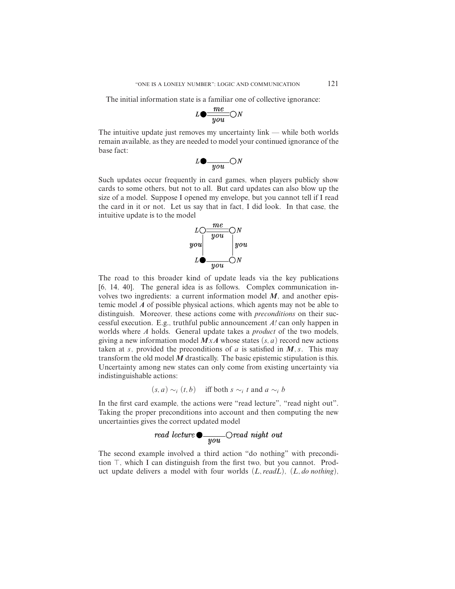The initial information state is a familiar one of collective ignorance:

$$
L\bigodot \frac{me}{you}\bigcirc N
$$

The intuitive update just removes my uncertainty link — while both worlds remain available, as they are needed to model your continued ignorance of the base fact:

$$
L \bigodot \frac{1}{you} ON
$$

Such updates occur frequently in card games, when players publicly show cards to some others, but not to all. But card updates can also blow up the size of a model. Suppose I opened my envelope, but you cannot tell if I read the card in it or not. Let us say that in fact, I did look. In that case, the intuitive update is to the model



The road to this broader kind of update leads via the key publications [6, 14, 40]. The general idea is as follows. Complex communication involves two ingredients: a current information model *M*, and another epistemic model *A* of possible physical actions, which agents may not be able to distinguish. Moreover, these actions come with *preconditions* on their successful execution. E.g., truthful public announcement *A!* can only happen in worlds where *A* holds. General update takes a *product* of the two models, giving a new information model  $M \times A$  whose states  $(s, a)$  record new actions taken at *s*, provided the preconditions of *a* is satisfied in  $M$ , *s*. This may transform the old model *M* drastically. The basic epistemic stipulation is this. Uncertainty among new states can only come from existing uncertainty via indistinguishable actions:

$$
(s, a) \sim_i (t, b)
$$
 iff both  $s \sim_i t$  and  $a \sim_i b$ 

In the first card example, the actions were "read lecture", "read night out". Taking the proper preconditions into account and then computing the new uncertainties gives the correct updated model

$$
read\ lecture \bigcirc \_\_you\bigcirc read\ night\ out
$$

The second example involved a third action "do nothing" with precondition  $\top$ , which I can distinguish from the first two, but you cannot. Product update delivers a model with four worlds (*L,readL*), (*L, do nothing*),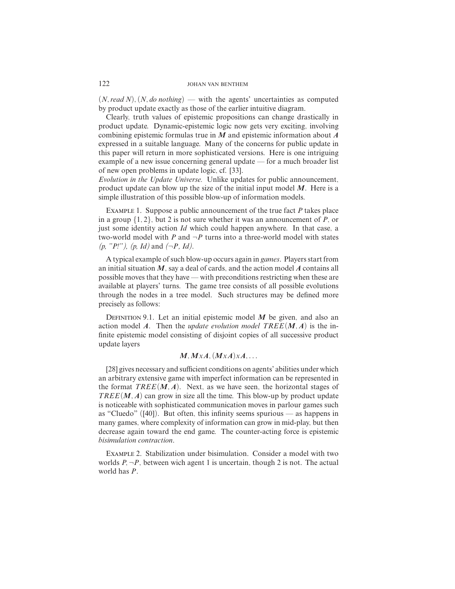$(N, read N)$ ,  $(N, do nothing)$  — with the agents' uncertainties as computed by product update exactly as those of the earlier intuitive diagram.

Clearly, truth values of epistemic propositions can change drastically in product update. Dynamic-epistemic logic now gets very exciting, involving combining epistemic formulas true in *M* and epistemic information about *A* expressed in a suitable language. Many of the concerns for public update in this paper will return in more sophisticated versions. Here is one intriguing example of a new issue concerning general update — for a much broader list of new open problems in update logic, cf. [33].

*Evolution in the Update Universe.* Unlike updates for public announcement, product update can blow up the size of the initial input model *M*. Here is a simple illustration of this possible blow-up of information models.

Example 1. Suppose a public announcement of the true fact *P* takes place in a group {1*,* 2}, but 2 is not sure whether it was an announcement of *P*, or just some identity action *Id* which could happen anywhere. In that case, a two-world model with  $P$  and  $\neg P$  turns into a three-world model with states *(p, "P!"), (p, Id)* and *(*¬*P, Id)*.

A typical example of such blow-up occurs again in *games*. Players start from an initial situation *M*, say a deal of cards, and the action model *A* contains all possible moves that they have — with preconditions restricting when these are available at players' turns. The game tree consists of all possible evolutions through the nodes in a tree model. Such structures may be defined more precisely as follows:

DEFINITION 9.1. Let an initial epistemic model  $M$  be given, and also an action model A. Then the *update evolution model*  $TREE(M, A)$  is the infinite epistemic model consisting of disjoint copies of all successive product update layers

# $M$ *,*  $MxA$ *,*  $(MxA)xA$ *,...*

[28] gives necessary and sufficient conditions on agents' abilities under which an arbitrary extensive game with imperfect information can be represented in the format  $TREE(M, A)$ . Next, as we have seen, the horizontal stages of  $TREE(M, A)$  can grow in size all the time. This blow-up by product update is noticeable with sophisticated communication moves in parlour games such as "Cluedo" ([40]). But often, this infinity seems spurious — as happens in many games, where complexity of information can grow in mid-play, but then decrease again toward the end game. The counter-acting force is epistemic *bisimulation contraction*.

Example 2. Stabilization under bisimulation. Consider a model with two worlds  $P, \neg P$ , between wich agent 1 is uncertain, though 2 is not. The actual world has *P*.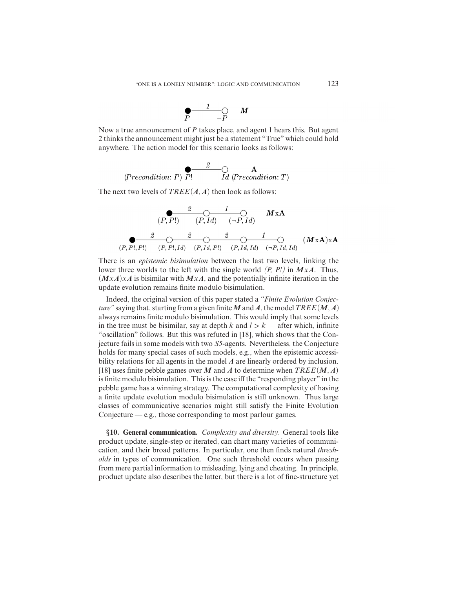$$
\bullet \xrightarrow[\neg P]{1} \bigcirc M
$$

Now a true announcement of *P* takes place, and agent 1 hears this. But agent 2 thinks the announcement might just be a statement "True" which could hold anywhere. The action model for this scenario looks as follows:

$$
(Precondition: P) \begin{array}{c} \bullet \quad \mathcal{Z} \quad \text{---} \quad \text{---} \quad \text{---} \quad \text{---} \quad \text{---} \quad \text{---} \quad \text{---} \quad \text{---} \quad \text{---} \quad \text{---} \quad \text{---} \quad \text{---} \quad \text{---} \quad \text{---} \quad \text{---} \quad \text{---} \quad \text{---} \quad \text{---} \quad \text{---} \quad \text{---} \quad \text{---} \quad \text{---} \quad \text{---} \quad \text{---} \quad \text{---} \quad \text{---} \quad \text{---} \quad \text{---} \quad \text{---} \quad \text{---} \quad \text{---} \quad \text{---} \quad \text{---} \quad \text{---} \quad \text{---} \quad \text{---} \quad \text{---} \quad \text{---} \quad \text{---} \quad \text{---} \quad \text{---} \quad \text{---} \quad \text{---} \quad \text{---} \quad \text{---} \quad \text{---} \quad \text{---} \quad \text{---} \quad \text{---} \quad \text{---} \quad \text{---} \quad \text{---} \quad \text{---} \quad \text{---} \quad \text{---} \quad \text{---} \quad \text{---} \quad \text{---} \quad \text{---} \quad \text{---} \quad \text{---} \quad \text{---} \quad \text{---} \quad \text{---} \quad \text{---} \quad \text{---} \quad \text{---} \quad \text{---} \quad \text{---} \quad \text{---} \quad \text{---} \quad \text{---} \quad \text{---} \quad \text{---} \quad \text{---} \quad \text{---} \quad \text{---} \quad \text{---} \quad \text{---} \quad \text{---} \quad \text{---} \quad \text{---} \quad \text{---} \quad \text{---} \quad \text{---} \quad \text{---} \quad \text{---} \quad \text{---} \quad \text{---} \quad \text{---} \quad \text{---} \quad \text{---} \quad \text{---} \quad \text{---} \quad \text{---} \quad \text{---} \quad \text{---} \quad \text{---} \quad \text{---} \quad \text{---} \quad \text{---} \quad \text{---} \quad \text{---} \quad \text{---} \quad \text{---} \quad
$$

The next two levels of *TREE*(*A, A*) then look as follows:

$$
\begin{array}{cc}\n & \overbrace{(P,P!)} & \overbrace{(P,Id)} & \overbrace{(P,Id)} & \overbrace{(P,Id)} & \overbrace{(P,Id)} \\
& & \overbrace{(P,P!)} & \overbrace{(P,Id)} & \overbrace{(P,Id,P!)} & \overbrace{(P,Id,Id)} & \overbrace{(P,Id,Id)} & \overbrace{(P,Id,Id)} & \overbrace{(P,Id,Id)} & \overbrace{(P,Id,Id)}\n\end{array}
$$

There is an *epistemic bisimulation* between the last two levels, linking the lower three worlds to the left with the single world *(P, P!)* in *MxA*. Thus,  $(MxA)xA$  is bisimilar with  $MxA$ , and the potentially infinite iteration in the update evolution remains finite modulo bisimulation.

Indeed, the original version of this paper stated a *"Finite Evolution Conjecture*" saying that, starting from a given finite M and A, the model  $TREE(M, A)$ always remains finite modulo bisimulation. This would imply that some levels in the tree must be bisimilar, say at depth  $k$  and  $l > k$  — after which, infinite "oscillation" follows. But this was refuted in [18], which shows that the Conjecture fails in some models with two *S5*-agents. Nevertheless, the Conjecture holds for many special cases of such models, e.g., when the epistemic accessibility relations for all agents in the model *A* are linearly ordered by inclusion. [18] uses finite pebble games over *M* and *A* to determine when  $TREE(M, A)$ is finite modulo bisimulation. This is the case iff the "responding player" in the pebble game has a winning strategy. The computational complexity of having a finite update evolution modulo bisimulation is still unknown. Thus large classes of communicative scenarios might still satisfy the Finite Evolution Conjecture — e.g., those corresponding to most parlour games.

*§***10. General communication.** *Complexity and diversity.* General tools like product update, single-step or iterated, can chart many varieties of communication, and their broad patterns. In particular, one then finds natural *thresholds* in types of communication. One such threshold occurs when passing from mere partial information to misleading, lying and cheating. In principle, product update also describes the latter, but there is a lot of fine-structure yet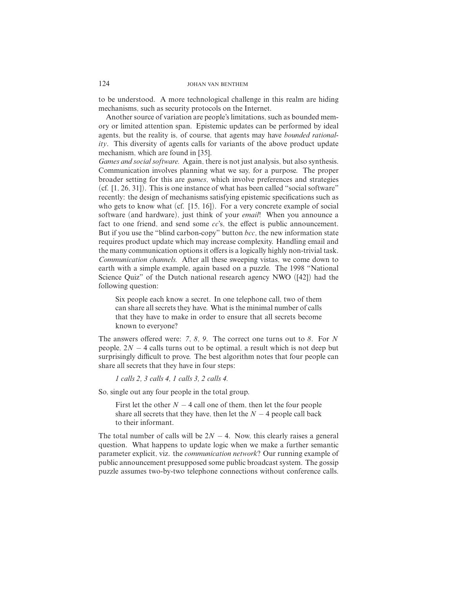to be understood. A more technological challenge in this realm are hiding mechanisms, such as security protocols on the Internet.

Another source of variation are people's limitations, such as bounded memory or limited attention span. Epistemic updates can be performed by ideal agents, but the reality is, of course, that agents may have *bounded rationality*. This diversity of agents calls for variants of the above product update mechanism, which are found in [35].

*Games and social software.* Again, there is not just analysis, but also synthesis. Communication involves planning what we say, for a purpose. The proper broader setting for this are *games*, which involve preferences and strategies (cf. [1, 26, 31]). This is one instance of what has been called "social software" recently: the design of mechanisms satisfying epistemic specifications such as who gets to know what (cf. [15, 16]). For a very concrete example of social software (and hardware), just think of your *email*! When you announce a fact to one friend, and send some *cc*'s, the effect is public announcement. But if you use the "blind carbon-copy" button *bcc*, the new information state requires product update which may increase complexity. Handling email and the many communication options it offers is a logically highly non-trivial task. *Communication channels.* After all these sweeping vistas, we come down to earth with a simple example, again based on a puzzle. The 1998 "National Science Quiz" of the Dutch national research agency NWO ([42]) had the following question:

Six people each know a secret. In one telephone call, two of them can share all secrets they have. What is the minimal number of calls that they have to make in order to ensure that all secrets become known to everyone?

The answers offered were: *7*, *8*, *9*. The correct one turns out to *8*. For *N* people, 2*N* − 4 calls turns out to be optimal, a result which is not deep but surprisingly difficult to prove. The best algorithm notes that four people can share all secrets that they have in four steps:

*1 calls 2, 3 calls 4, 1 calls 3, 2 calls 4.*

So, single out any four people in the total group.

First let the other  $N - 4$  call one of them, then let the four people share all secrets that they have, then let the  $N-4$  people call back to their informant.

The total number of calls will be  $2N - 4$ . Now, this clearly raises a general question. What happens to update logic when we make a further semantic parameter explicit, viz. the *communication network*? Our running example of public announcement presupposed some public broadcast system. The gossip puzzle assumes two-by-two telephone connections without conference calls.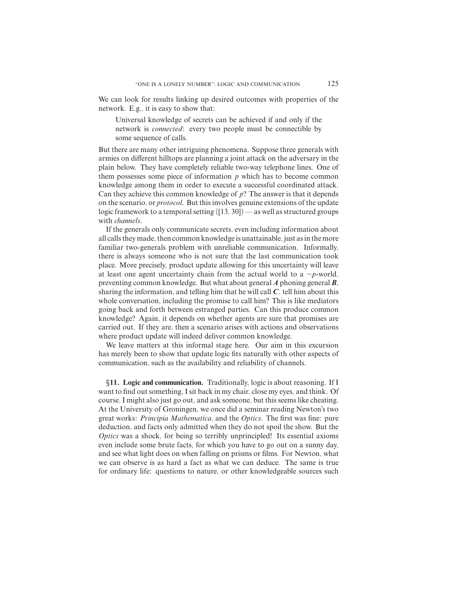We can look for results linking up desired outcomes with properties of the network. E.g., it is easy to show that:

Universal knowledge of secrets can be achieved if and only if the network is *connected*: every two people must be connectible by some sequence of calls.

But there are many other intriguing phenomena. Suppose three generals with armies on different hilltops are planning a joint attack on the adversary in the plain below. They have completely reliable two-way telephone lines. One of them possesses some piece of information  $p$  which has to become common knowledge among them in order to execute a successful coordinated attack. Can they achieve this common knowledge of *p*? The answer is that it depends on the scenario, or *protocol*. But this involves genuine extensions of the update logic framework to a temporal setting  $([13, 30])$  — as well as structured groups with *channels*.

If the generals only communicate secrets, even including information about all calls they made, then common knowledge is unattainable, just as in the more familiar two-generals problem with unreliable communication. Informally, there is always someone who is not sure that the last communication took place. More precisely, product update allowing for this uncertainty will leave at least one agent uncertainty chain from the actual world to a  $\neg p$ -world, preventing common knowledge. But what about general *A* phoning general *B*, sharing the information, and telling him that he will call  $C$ , tell him about this whole conversation, including the promise to call him? This is like mediators going back and forth between estranged parties. Can this produce common knowledge? Again, it depends on whether agents are sure that promises are carried out. If they are, then a scenario arises with actions and observations where product update will indeed deliver common knowledge.

We leave matters at this informal stage here. Our aim in this excursion has merely been to show that update logic fits naturally with other aspects of communication, such as the availability and reliability of channels.

*§***11. Logic and communication.** Traditionally, logic is about reasoning. If I want to find out something, I sit back in my chair, close my eyes, and think. Of course, I might also just go out, and ask someone, but this seems like cheating. At the University of Groningen, we once did a seminar reading Newton's two great works: *Principia Mathematica*, and the *Optics*. The first was fine: pure deduction, and facts only admitted when they do not spoil the show. But the *Optics* was a shock, for being so terribly unprincipled! Its essential axioms even include some brute facts, for which you have to go out on a sunny day, and see what light does on when falling on prisms or films. For Newton, what we can observe is as hard a fact as what we can deduce. The same is true for ordinary life: questions to nature, or other knowledgeable sources such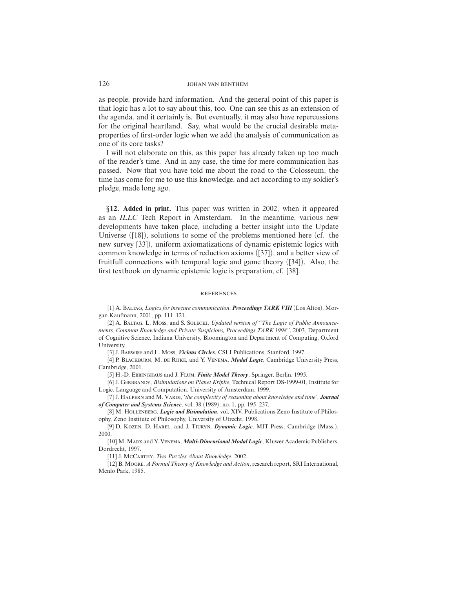as people, provide hard information. And the general point of this paper is that logic has a lot to say about this, too. One can see this as an extension of the agenda, and it certainly is. But eventually, it may also have repercussions for the original heartland. Say, what would be the crucial desirable metaproperties of first-order logic when we add the analysis of communication as one of its core tasks?

I will not elaborate on this, as this paper has already taken up too much of the reader's time. And in any case, the time for mere communication has passed. Now that you have told me about the road to the Colosseum, the time has come for me to use this knowledge, and act according to my soldier's pledge, made long ago.

*§***12. Added in print.** This paper was written in 2002, when it appeared as an *ILLC* Tech Report in Amsterdam. In the meantime, various new developments have taken place, including a better insight into the Update Universe ([18]), solutions to some of the problems mentioned here (cf. the new survey [33]), uniform axiomatizations of dynamic epistemic logics with common knowledge in terms of reduction axioms ([37]), and a better view of fruitfull connections with temporal logic and game theory ([34]). Also, the first textbook on dynamic epistemic logic is preparation, cf. [38].

#### REFERENCES

[1] A. Baltag, *Logics for insecure communication*, *Proceedings TARK VIII* (Los Altos), Morgan Kaufmann, 2001, pp. 111–121.

[2] A. Baltag, L. Moss, and S. Solecki, *Updated version of "The Logic of Public Announcements, Common Knowledge and Private Suspicions, Proceedings TARK 1998"*, 2003, Department of Cognitive Science, Indiana University, Bloomington and Department of Computing, Oxford University.

[3] J. Barwise and L. Moss, *Vicious Circles*, CSLI Publications, Stanford, 1997.

[4] P. Blackburn, M. de Rijke, and Y. Venema, *Modal Logic*, Cambridge University Press, Cambridge, 2001.

[5] H.-D. Ebbinghaus and J. Flum, *Finite Model Theory*, Springer, Berlin, 1995.

[6] J. Gerbrandy, *Bisimulations on Planet Kripke*, Technical Report DS-1999-01, Institute for Logic, Language and Computation, University of Amsterdam, 1999.

[7] J. HALPERN and M. VARDI, 'the complexity of reasoning about knowledge and time', **Journal** *of Computer and Systems Science*, vol. 38 (1989), no. 1, pp. 195–237.

[8] M. Hollenberg, *Logic and Bisimulation*, vol. XIV, Publications Zeno Institute of Philosophy, Zeno Institute of Philosophy, University of Utrecht, 1998.

[9] D. Kozen, D. Harel, and J. Tiuryn, *Dynamic Logic*, MIT Press, Cambridge (Mass.), 2000.

[10] M. Marx and Y. Venema, *Multi-Dimensional Modal Logic*, Kluwer Academic Publishers, Dordrecht, 1997.

[11] J. McCarthy, *Two Puzzles About Knowledge*, 2002.

[12] B. Moore, *A Formal Theory of Knowledge and Action*, research report, SRI International, Menlo Park, 1985.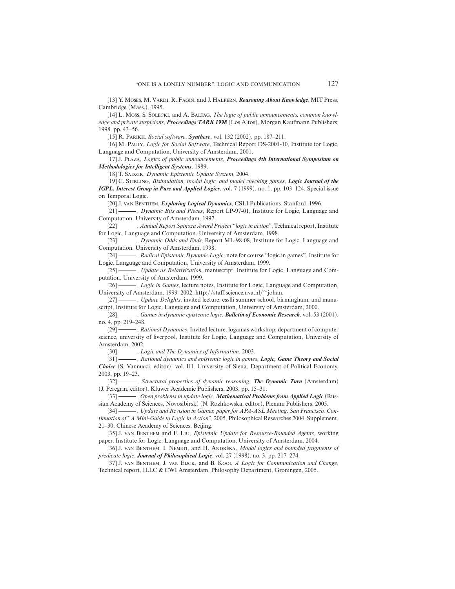[13] Y. Moses, M. Vardi, R. Fagin, and J. Halpern, *Reasoning About Knowledge*, MIT Press, Cambridge (Mass.), 1995.

[14] L. Moss, S. Solecki, and A. Baltag, *The logic of public announcements, common knowledge and private suspicions*, *Proceedings TARK 1998* (Los Altos), Morgan Kaufmann Publishers, 1998, pp. 43–56.

[15] R. Parikh, *Social software*, *Synthese*, vol. 132 (2002), pp. 187–211.

[16] M. Pauly, *Logic for Social Software*, Technical Report DS-2001-10, Institute for Logic, Language and Computation, University of Amsterdam, 2001.

[17] J. Plaza, *Logics of public announcements*, *Proceedings 4th International Symposium on Methodologies for Intelligent Systems*, 1989.

[18] T. Sadzik, *Dynamic Epistemic Update System*, 2004.

[19] C. Stirling, *Bisimulation, modal logic, and model checking games*, *Logic Journal of the IGPL. Interest Group in Pure and Applied Logics*, vol. 7 (1999), no. 1, pp. 103–124, Special issue on Temporal Logic.

[20] J. van Benthem, *Exploring Logical Dynamics*, CSLI Publications, Stanford, 1996.

[21] , *Dynamic Bits and Pieces*, Report LP-97-01, Institute for Logic, Language and Computation, University of Amsterdam, 1997.

[22] , *Annual Report Spinoza Award Project "logic in action"*, Technical report, Institute for Logic, Language and Computation, University of Amsterdam, 1998.

[23] *- , Dynamic Odds and Ends*, Report ML-98-08, Institute for Logic, Language and Computation, University of Amsterdam, 1998.

[24] , *Radical Epistemic Dynamic Logic*, note for course "logic in games", Institute for Logic, Language and Computation, University of Amsterdam, 1999.

[25] , *Update as Relativization*, manuscript, Institute for Logic, Language and Computation, University of Amsterdam, 1999.

[26]  $\longrightarrow$ , *Logic in Games*, lecture notes, Institute for Logic, Language and Computation, University of Amsterdam, 1999–2002, http://staff.science.uva.nl/∼johan.

[27] *, Update Delights*, invited lecture, esslli summer school, birmingham, and manuscript, Institute for Logic, Language and Computation, University of Amsterdam, 2000.

[28] - , *Games in dynamic epistemic logic*, **Bulletin of Economic Research**, vol. 53 (2001), no. 4, pp. 219–248.

[29] , *Rational Dynamics*, Invited lecture, logamas workshop, department of computer science, university of liverpool, Institute for Logic, Language and Computation, University of Amsterdam, 2002.

[30] , *Logic and The Dynamics of Information*, 2003.

[31] , *Rational dynamics and epistemic logic in games*, *Logic, Game Theory and Social Choice* (S. Vannucci, editor), vol. III, University of Siena, Department of Political Economy, 2003, pp. 19–23.

[32] *, Structural properties of dynamic reasoning, The Dynamic Turn (Amsterdam)* (J. Peregrin, editor), Kluwer Academic Publishers, 2003, pp. 15–31.

[33] - *Open problems in update logic*, *Mathematical Problems from Applied Logic* (Russian Academy of Sciences, Novosibirsk) (N. Rozhkowska, editor), Plenum Publishers, 2005.

[34] , *Update and Revision in Games, paper for APA-ASL Meeting, San Francisco. Continuation of "A Mini-Guide to Logic in Action"*, 2005, Philosophical Researches 2004, Supplement, 21–30, Chinese Academy of Sciences, Beijing.

[35] J. van Benthem and F. Liu, *Epistemic Update for Resource-Bounded Agents*, working paper, Institute for Logic, Language and Computation, University of Amsterdam, 2004.

[36] J. van BENTHEM, I. NémETI, and H. ANDRÉKA, *Modal logics and bounded fragments of predicate logic*, *Journal of Philosophical Logic*, vol. 27 (1998), no. 3, pp. 217–274.

[37] J. van BENTHEM, J. van EIJCK, and B. Kool, *A Logic for Communication and Change*, Technical report, ILLC & CWI Amsterdam, Philosophy Department, Groningen, 2005.